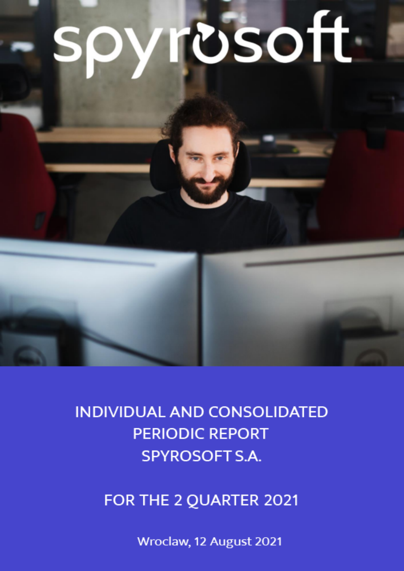# **rosoft**



FOR THE 2 QUARTER 2021

Wroclaw, 12 August 2021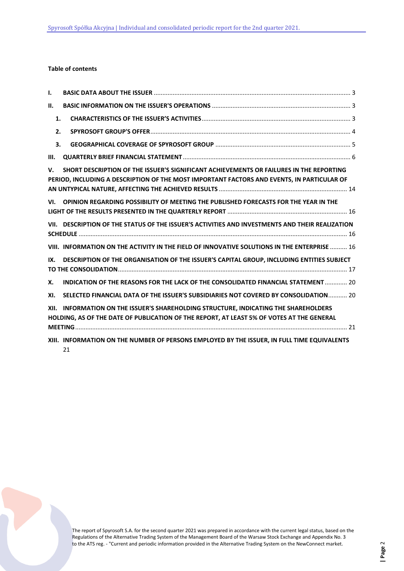# **Table of contents**

| I.   |                                                                                                                                                                                       |  |
|------|---------------------------------------------------------------------------------------------------------------------------------------------------------------------------------------|--|
| н.   |                                                                                                                                                                                       |  |
| 1.   |                                                                                                                                                                                       |  |
| 2.   |                                                                                                                                                                                       |  |
| 3.   |                                                                                                                                                                                       |  |
| III. |                                                                                                                                                                                       |  |
| V.   | SHORT DESCRIPTION OF THE ISSUER'S SIGNIFICANT ACHIEVEMENTS OR FAILURES IN THE REPORTING<br>PERIOD, INCLUDING A DESCRIPTION OF THE MOST IMPORTANT FACTORS AND EVENTS, IN PARTICULAR OF |  |
| VI.  | OPINION REGARDING POSSIBILITY OF MEETING THE PUBLISHED FORECASTS FOR THE YEAR IN THE                                                                                                  |  |
|      | VII. DESCRIPTION OF THE STATUS OF THE ISSUER'S ACTIVITIES AND INVESTMENTS AND THEIR REALIZATION                                                                                       |  |
|      | VIII. INFORMATION ON THE ACTIVITY IN THE FIELD OF INNOVATIVE SOLUTIONS IN THE ENTERPRISE  16                                                                                          |  |
| IX.  | DESCRIPTION OF THE ORGANISATION OF THE ISSUER'S CAPITAL GROUP, INCLUDING ENTITIES SUBJECT                                                                                             |  |
| X.   | INDICATION OF THE REASONS FOR THE LACK OF THE CONSOLIDATED FINANCIAL STATEMENT  20                                                                                                    |  |
| XI.  | SELECTED FINANCIAL DATA OF THE ISSUER'S SUBSIDIARIES NOT COVERED BY CONSOLIDATION 20                                                                                                  |  |
| XII. | INFORMATION ON THE ISSUER'S SHAREHOLDING STRUCTURE, INDICATING THE SHAREHOLDERS<br>HOLDING, AS OF THE DATE OF PUBLICATION OF THE REPORT, AT LEAST 5% OF VOTES AT THE GENERAL          |  |
|      | XIII. INFORMATION ON THE NUMBER OF PERSONS EMPLOYED BY THE ISSUER, IN FULL TIME EQUIVALENTS<br>21                                                                                     |  |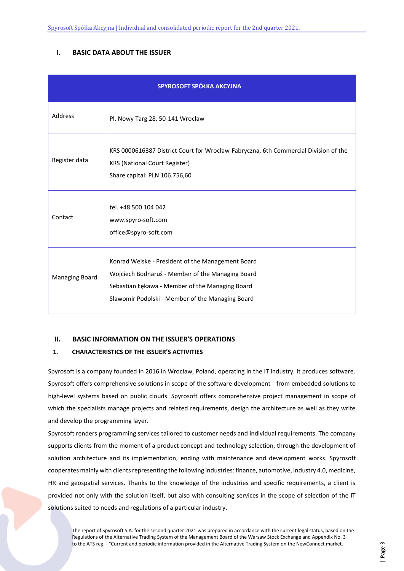# <span id="page-2-0"></span>**I. BASIC DATA ABOUT THE ISSUER**

|                       | SPYROSOFT SPÓŁKA AKCYJNA                                                                                                                                                                                     |
|-----------------------|--------------------------------------------------------------------------------------------------------------------------------------------------------------------------------------------------------------|
| Address               | Pl. Nowy Targ 28, 50-141 Wrocław                                                                                                                                                                             |
| Register data         | KRS 0000616387 District Court for Wrocław-Fabryczna, 6th Commercial Division of the<br><b>KRS (National Court Register)</b><br>Share capital: PLN 106.756,60                                                 |
| Contact               | tel. +48 500 104 042<br>www.spyro-soft.com<br>office@spyro-soft.com                                                                                                                                          |
| <b>Managing Board</b> | Konrad Weiske - President of the Management Board<br>Wojciech Bodnaruś - Member of the Managing Board<br>Sebastian Łękawa - Member of the Managing Board<br>Sławomir Podolski - Member of the Managing Board |

# <span id="page-2-1"></span>**II. BASIC INFORMATION ON THE ISSUER'S OPERATIONS**

# <span id="page-2-2"></span>**1. CHARACTERISTICS OF THE ISSUER'S ACTIVITIES**

Spyrosoft is a company founded in 2016 in Wrocław, Poland, operating in the IT industry. It produces software. Spyrosoft offers comprehensive solutions in scope of the software development - from embedded solutions to high-level systems based on public clouds. Spyrosoft offers comprehensive project management in scope of which the specialists manage projects and related requirements, design the architecture as well as they write and develop the programming layer.

Spyrosoft renders programming services tailored to customer needs and individual requirements. The company supports clients from the moment of a product concept and technology selection, through the development of solution architecture and its implementation, ending with maintenance and development works. Spyrosoft cooperates mainly with clients representing the following industries: finance, automotive, industry 4.0, medicine, HR and geospatial services. Thanks to the knowledge of the industries and specific requirements, a client is provided not only with the solution itself, but also with consulting services in the scope of selection of the IT solutions suited to needs and regulations of a particular industry.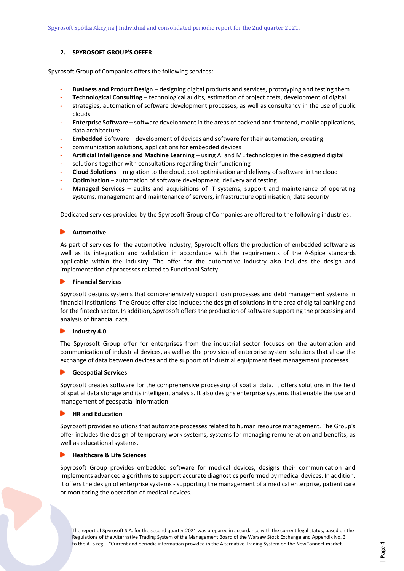# <span id="page-3-0"></span>**2. SPYROSOFT GROUP'S OFFER**

Spyrosoft Group of Companies offers the following services:

- **- Business and Product Design**  designing digital products and services, prototyping and testing them
- **- Technological Consulting**  technological audits, estimation of project costs, development of digital
- **-** strategies, automation of software development processes, as well as consultancy in the use of public clouds
- **- Enterprise Software**  software development in the areas of backend and frontend, mobile applications, data architecture
- **- Embedded** Software development of devices and software for their automation, creating
- **-** communication solutions, applications for embedded devices
- **- Artificial Intelligence and Machine Learning**  using AI and ML technologies in the designed digital
- **-** solutions together with consultations regarding their functioning
- **- Cloud Solutions** migration to the cloud, cost optimisation and delivery of software in the cloud
- **- Optimisation**  automation of software development, delivery and testing
- **- Managed Services**  audits and acquisitions of IT systems, support and maintenance of operating systems, management and maintenance of servers, infrastructure optimisation, data security

Dedicated services provided by the Spyrosoft Group of Companies are offered to the following industries:

#### **Automotive**

As part of services for the automotive industry, Spyrosoft offers the production of embedded software as well as its integration and validation in accordance with the requirements of the A-Spice standards applicable within the industry. The offer for the automotive industry also includes the design and implementation of processes related to Functional Safety.

#### **Financial Services**

Spyrosoft designs systems that comprehensively support loan processes and debt management systems in financial institutions. The Groups offer also includes the design of solutions in the area of digital banking and for the fintech sector. In addition, Spyrosoft offers the production of software supporting the processing and analysis of financial data.

#### **Industry 4.0**  $\blacktriangleright$

The Spyrosoft Group offer for enterprises from the industrial sector focuses on the automation and communication of industrial devices, as well as the provision of enterprise system solutions that allow the exchange of data between devices and the support of industrial equipment fleet management processes.

#### **Geospatial Services**

Spyrosoft creates software for the comprehensive processing of spatial data. It offers solutions in the field of spatial data storage and its intelligent analysis. It also designs enterprise systems that enable the use and management of geospatial information.

#### **HR and Education**

Spyrosoft provides solutions that automate processes related to human resource management. The Group's offer includes the design of temporary work systems, systems for managing remuneration and benefits, as well as educational systems.

#### **Healthcare & Life Sciences**

Spyrosoft Group provides embedded software for medical devices, designs their communication and implements advanced algorithms to support accurate diagnostics performed by medical devices. In addition, it offers the design of enterprise systems - supporting the management of a medical enterprise, patient care or monitoring the operation of medical devices.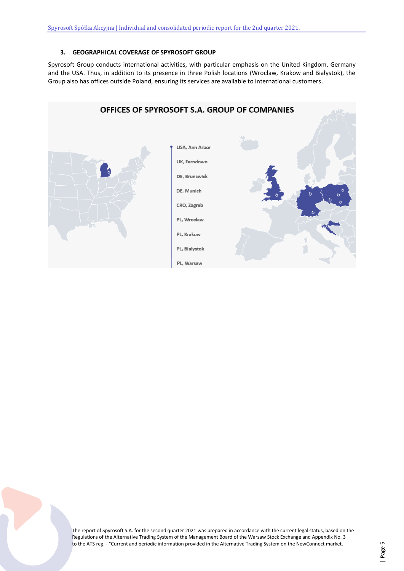# **3. GEOGRAPHICAL COVERAGE OF SPYROSOFT GROUP**

<span id="page-4-0"></span>Spyrosoft Group conducts international activities, with particular emphasis on the United Kingdom, Germany and the USA. Thus, in addition to its presence in three Polish locations (Wrocław, Krakow and Białystok), the Group also has offices outside Poland, ensuring its services are available to international customers.

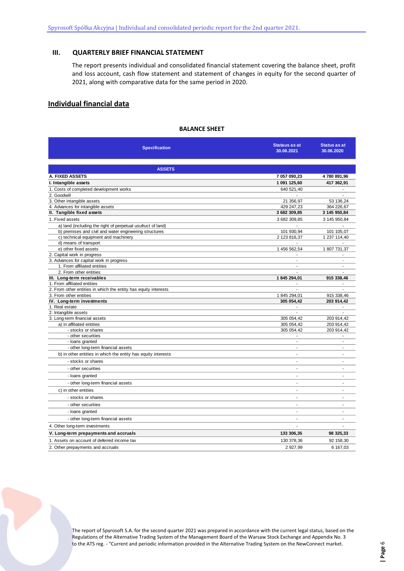# <span id="page-5-0"></span>**III. QUARTERLY BRIEF FINANCIAL STATEMENT**

The report presents individual and consolidated financial statement covering the balance sheet, profit and loss account, cash flow statement and statement of changes in equity for the second quarter of 2021, along with comparative data for the same period in 2020.

# **Individual financial data**

#### **BALANCE SHEET**

| <b>Specification</b>                                                                                                  | <b>Stataus as at</b><br>30.06.2021 | <b>Status as at</b><br>30.06.2020 |
|-----------------------------------------------------------------------------------------------------------------------|------------------------------------|-----------------------------------|
| <b>ASSETS</b>                                                                                                         |                                    |                                   |
| A. FIXED ASSETS                                                                                                       | 7 057 090,23                       | 4780 891,96                       |
| I. Intangible assets                                                                                                  | 1 091 125,60                       |                                   |
|                                                                                                                       |                                    | 417 362,91<br>÷                   |
| 1. Costs of completed development works                                                                               | 640 521,40                         |                                   |
| 2. Goodwill<br>3. Other intangible assets                                                                             | 21 356,97                          | 53 136,24                         |
| 4. Advances for intangible assets                                                                                     | 429 247,23                         | 364 226,67                        |
| II. Tangible fixed assets                                                                                             | 3 682 309,85                       | 3 145 950,84                      |
| 1. Fixed assets                                                                                                       | 3 682 309,85                       | 3 145 950,84                      |
|                                                                                                                       |                                    |                                   |
| a) land (including the right of perpetual usufruct of land)<br>b) premises and civil and water engineering structures | 101 930,94                         | 101 105,07                        |
| c) technical equipment and machinery                                                                                  | 2 123 816,37                       | 1 237 114,40                      |
| d) means of transport                                                                                                 |                                    |                                   |
| e) other fixed assets                                                                                                 | 1 456 562,54                       | 1807 731,37                       |
| 2. Capital work in progress                                                                                           | $\overline{a}$                     |                                   |
| 3. Advances for capital work in progress                                                                              | ä,                                 | ÷                                 |
| 1. From affiliated entities                                                                                           |                                    |                                   |
| 2. From other entities                                                                                                |                                    |                                   |
| III. Long-term receivables                                                                                            | 1 845 294,01                       | 915 338,46                        |
| 1. From affiliated entities                                                                                           |                                    |                                   |
| 2. From other entities in which the entity has equity interests                                                       | $\overline{a}$                     |                                   |
| 3. From other entities                                                                                                | 1845 294,01                        | 915 338,46                        |
| IV. Long-term investments                                                                                             | 305 054,42                         | 203 914,42                        |
| 1. Real estate                                                                                                        | ä,                                 | $\blacksquare$                    |
| 2. Intangible assets                                                                                                  |                                    |                                   |
| 3. Long-term financial assets                                                                                         | 305 054,42                         | 203 914,42                        |
| a) in affiliated entities                                                                                             | 305 054,42                         | 203 914,42                        |
| - stocks or shares                                                                                                    | 305 054,42                         | 203 914,42                        |
| - other securities                                                                                                    | $\overline{a}$                     |                                   |
| - loans granted                                                                                                       | ÷                                  | ÷                                 |
| - other long-term financial assets                                                                                    |                                    | $\overline{\phantom{a}}$          |
| b) in other entities in which the entity has equity interests                                                         | ÷.                                 |                                   |
| - stocks or shares                                                                                                    | $\blacksquare$                     | $\blacksquare$                    |
| - other securities                                                                                                    | ä,                                 | ÷,                                |
| - loans granted                                                                                                       | ÷,                                 | $\overline{a}$                    |
| - other long-term financial assets                                                                                    | $\overline{\phantom{0}}$           | $\sim$                            |
| c) in other entities                                                                                                  | $\blacksquare$                     | ٠                                 |
| - stocks or shares                                                                                                    | ٠                                  | $\blacksquare$                    |
| - other securities                                                                                                    | ÷.                                 | $\overline{a}$                    |
| - loans granted                                                                                                       | $\overline{a}$                     | ä,                                |
| - other long-term financial assets                                                                                    | $\overline{a}$                     | $\overline{a}$                    |
| 4. Other long-term investments                                                                                        |                                    |                                   |
| V. Long-term prepayments and accruals                                                                                 | 133 306,35                         | 98 325,33                         |
| 1. Assets on account of deferred income tax                                                                           | 130 378,36                         | 92 158,30                         |
| 2. Other prepayments and accruals                                                                                     | 2 927,99                           | 6 167,03                          |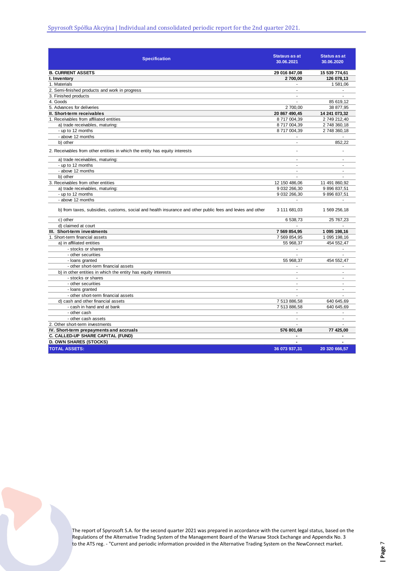| <b>Specification</b>                                                                                      | Stataus as at<br>30.06.2021 | <b>Status as at</b><br>30.06.2020 |
|-----------------------------------------------------------------------------------------------------------|-----------------------------|-----------------------------------|
| <b>B. CURRENT ASSETS</b>                                                                                  | 29 016 847,08               | 15 539 774,61                     |
| I. Inventory                                                                                              | 2700,00                     | 126 078,13                        |
| 1. Materials                                                                                              |                             | 1 581,06                          |
| 2. Semi-finished products and work in progress                                                            | $\blacksquare$              |                                   |
| 3. Finished products                                                                                      | $\overline{a}$              |                                   |
| 4. Goods                                                                                                  | ÷.                          | 85 619,12                         |
| 5. Advances for deliveries                                                                                | 2700,00                     | 38 877,95                         |
| II. Short-term receivables                                                                                | 20 867 490,45               | 14 241 073,32                     |
| 1. Receivables from affiliated entities                                                                   | 8717004,39                  | 2 749 212,40                      |
| a) trade receivables, maturing:                                                                           | 8 717 004,39                | 2 748 360,18                      |
| - up to 12 months                                                                                         | 8717004,39                  | 2 748 360,18                      |
| - above 12 months                                                                                         |                             |                                   |
| b) other                                                                                                  | $\overline{a}$              | 852,22                            |
| 2. Receivables from other entities in which the entity has equity interests                               |                             |                                   |
| a) trade receivables, maturing:                                                                           | $\blacksquare$              | $\overline{a}$                    |
| - up to 12 months                                                                                         | $\blacksquare$              |                                   |
| - above 12 months                                                                                         | $\overline{a}$              | ÷                                 |
| b) other                                                                                                  |                             |                                   |
| 3. Receivables from other entities                                                                        | 12 150 486,06               | 11 491 860,92                     |
| a) trade receivables, maturing:                                                                           | 9 032 266,30                | 9 896 837,51                      |
| - up to 12 months                                                                                         | 9 032 266,30                | 9 896 837,51                      |
| - above 12 months                                                                                         | $\overline{\phantom{a}}$    | $\overline{\phantom{a}}$          |
| b) from taxes, subsidies, customs, social and health insurance and other public fees and levies and other | 3 111 681,03                | 1 569 256,18                      |
| c) other                                                                                                  | 6 538,73                    | 25 767,23                         |
| d) claimed at court                                                                                       |                             |                                   |
| III. Short-term investments                                                                               | 7 569 854,95                | 1 095 198,16                      |
| 1. Short-term financial assets                                                                            | 7 569 854,95                | 1 095 198,16                      |
| a) in affiliated entities                                                                                 | 55 968,37                   | 454 552,47                        |
| - stocks or shares                                                                                        | $\overline{\phantom{a}}$    | $\overline{\phantom{a}}$          |
| - other securities                                                                                        | $\overline{\phantom{a}}$    | ÷                                 |
| - loans granted                                                                                           | 55 968,37                   | 454 552,47                        |
| - other short-term financial assets                                                                       | $\blacksquare$              |                                   |
| b) in other entities in which the entity has equity interests                                             | $\blacksquare$              | ÷.                                |
| - stocks or shares                                                                                        | $\overline{a}$              | ÷                                 |
| - other securities                                                                                        | $\overline{\phantom{a}}$    |                                   |
| - loans granted                                                                                           | $\overline{a}$              | $\frac{1}{2}$                     |
| - other short-term financial assets                                                                       | $\overline{a}$              |                                   |
| d) cash and other financial assets                                                                        | 7 513 886,58                | 640 645,69                        |
| - cash in hand and at bank                                                                                | 7 513 886,58                | 640 645,69                        |
| - other cash                                                                                              |                             |                                   |
| - other cash assets                                                                                       | $\overline{a}$              | $\overline{a}$                    |
| 2. Other short-term investments                                                                           | ÷.                          |                                   |
| IV. Short-term prepayments and accruals                                                                   | 576 801,68                  | 77 425,00                         |
| C. CALLED-UP SHARE CAPITAL (FUND)                                                                         |                             |                                   |
| <b>D. OWN SHARES (STOCKS)</b>                                                                             | ä,                          |                                   |
| <b>TOTAL ASSETS:</b>                                                                                      | 36 073 937,31               | 20 320 666,57                     |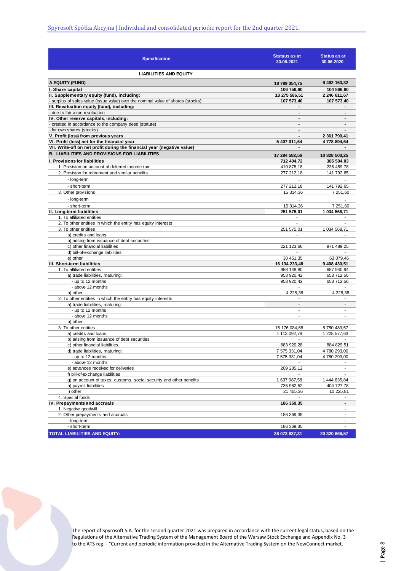| <b>LIABILITIES AND EQUITY</b><br>A EQUITY (FUND)<br>9 492 163,32<br>18 789 354,75<br>I. Share capital<br>106 756,60<br>104 866,60<br>II. Supplementary equity (fund), including:<br>13 275 586,51<br>2 246 611,67<br>- surplus of sales value (issue value) over the nominal value of shares (stocks)<br>107 573,40<br>107 573,40<br>III. Revaluation equity (fund), including:<br>- due to fair value revaluation<br>IV. Other reserve capitals, including:<br>$\blacksquare$<br>- created in accordance to the company deed (statute)<br>$\blacksquare$<br>- for own shares (stocks)<br>$\blacksquare$<br>V. Profit (loss) from previous years<br>2 361 790,41<br>$\blacksquare$<br>VI. Profit (loss) net for the financial year<br>5 407 011,64<br>4778 894,64<br>VII. Write-off on net profit during the financial year (negative value)<br><b>B. LIABILITIES AND PROVISIONS FOR LIABILITIES</b><br>17 284 582,56<br>10 828 503,25<br><b>I. Provisions for liabilities</b><br>712 404,72<br>385 504,03<br>1. Provision on account of deferred income tax<br>419 878,18<br>236 459,78<br>277 212,18<br>141 792,65<br>2. Provision for retirement and similar benefits<br>- long-term<br>- short-term<br>277 212,18<br>141 792,65<br>3. Other provisions<br>15 314,36<br>7 251,60<br>- long-term<br>- short-term<br>15 314,36<br>7 251,60<br>II. Long-term liabilities<br>251 575,01<br>1 034 568,71<br>1. To affiliated entities<br>$\blacksquare$<br>2. To other entities in which the entity has equity interests<br>$\blacksquare$<br>3. To other entities<br>1 034 568,71<br>251 575,01<br>a) credits and loans<br>b) arising from issuance of debt securities<br>$\overline{a}$<br>c) other financial liabilities<br>971 489,25<br>221 123,66<br>d) bill-of-exchange liabilities<br>$\blacksquare$<br>e) other<br>30 451,35<br>63 079,46<br>III. Short-term liabilities<br>16 134 233,48<br>9 408 430,51<br>1. To affiliated entities<br>958 148,80<br>657 940,94<br>a) trade liabilities, maturing:<br>953 920,42<br>653 712,56<br>- up to 12 months<br>953 920,42<br>653 712,56<br>- above 12 months<br>4 228,38<br>b) other<br>4 228,38<br>2. To other entities in which the entity has equity interests<br>$\overline{\phantom{a}}$<br>$\blacksquare$<br>a) trade liabilities, maturing:<br>$\blacksquare$<br>$\blacksquare$<br>- up to 12 months<br>- above 12 months<br>$\overline{a}$<br>b) other<br>3. To other entities<br>15 176 084,68<br>8750489,57<br>a) credits and loans<br>4 113 092,78<br>1 225 577,63<br>b) arising from issuance of debt securities<br>c) other financial liabilities<br>883 920,28<br>884 829,51<br>d) trade liabilities, maturing:<br>7 575 331,04<br>4780 293,00<br>- up to 12 months<br>7 575 331,04<br>4780 293,00<br>- above 12 months<br>e) advances received for deliveries<br>209 285,12<br>f) bill-of-exchange liabilities<br>g) on account of taxes, customs, social security and other benefits<br>1 637 087,58<br>1 444 835,84<br>h) payroll liabilities<br>735 962,52<br>404 727,78<br>i) other<br>21 405,36<br>10 225,81<br>4. Special funds<br>IV. Prepayments and accruals<br>186 369,35<br>$\blacksquare$<br>1. Negative goodwill<br>2. Other prepayments and accruals<br>186 369,35<br>$\overline{a}$<br>- long-term<br>$\blacksquare$<br>- short-term<br>186 369,35 | <b>Specification</b>                 | Stataus as at<br>30.06.2021 | <b>Status as at</b><br>30.06.2020 |
|------------------------------------------------------------------------------------------------------------------------------------------------------------------------------------------------------------------------------------------------------------------------------------------------------------------------------------------------------------------------------------------------------------------------------------------------------------------------------------------------------------------------------------------------------------------------------------------------------------------------------------------------------------------------------------------------------------------------------------------------------------------------------------------------------------------------------------------------------------------------------------------------------------------------------------------------------------------------------------------------------------------------------------------------------------------------------------------------------------------------------------------------------------------------------------------------------------------------------------------------------------------------------------------------------------------------------------------------------------------------------------------------------------------------------------------------------------------------------------------------------------------------------------------------------------------------------------------------------------------------------------------------------------------------------------------------------------------------------------------------------------------------------------------------------------------------------------------------------------------------------------------------------------------------------------------------------------------------------------------------------------------------------------------------------------------------------------------------------------------------------------------------------------------------------------------------------------------------------------------------------------------------------------------------------------------------------------------------------------------------------------------------------------------------------------------------------------------------------------------------------------------------------------------------------------------------------------------------------------------------------------------------------------------------------------------------------------------------------------------------------------------------------------------------------------------------------------------------------------------------------------------------------------------------------------------------------------------------------------------------------------------------------------------------------------------------------------------------------------------------------------------------------------------------------------------------------------------------------------------------------------------------------------------------------------------------------------|--------------------------------------|-----------------------------|-----------------------------------|
|                                                                                                                                                                                                                                                                                                                                                                                                                                                                                                                                                                                                                                                                                                                                                                                                                                                                                                                                                                                                                                                                                                                                                                                                                                                                                                                                                                                                                                                                                                                                                                                                                                                                                                                                                                                                                                                                                                                                                                                                                                                                                                                                                                                                                                                                                                                                                                                                                                                                                                                                                                                                                                                                                                                                                                                                                                                                                                                                                                                                                                                                                                                                                                                                                                                                                                                                    |                                      |                             |                                   |
|                                                                                                                                                                                                                                                                                                                                                                                                                                                                                                                                                                                                                                                                                                                                                                                                                                                                                                                                                                                                                                                                                                                                                                                                                                                                                                                                                                                                                                                                                                                                                                                                                                                                                                                                                                                                                                                                                                                                                                                                                                                                                                                                                                                                                                                                                                                                                                                                                                                                                                                                                                                                                                                                                                                                                                                                                                                                                                                                                                                                                                                                                                                                                                                                                                                                                                                                    |                                      |                             |                                   |
|                                                                                                                                                                                                                                                                                                                                                                                                                                                                                                                                                                                                                                                                                                                                                                                                                                                                                                                                                                                                                                                                                                                                                                                                                                                                                                                                                                                                                                                                                                                                                                                                                                                                                                                                                                                                                                                                                                                                                                                                                                                                                                                                                                                                                                                                                                                                                                                                                                                                                                                                                                                                                                                                                                                                                                                                                                                                                                                                                                                                                                                                                                                                                                                                                                                                                                                                    |                                      |                             |                                   |
|                                                                                                                                                                                                                                                                                                                                                                                                                                                                                                                                                                                                                                                                                                                                                                                                                                                                                                                                                                                                                                                                                                                                                                                                                                                                                                                                                                                                                                                                                                                                                                                                                                                                                                                                                                                                                                                                                                                                                                                                                                                                                                                                                                                                                                                                                                                                                                                                                                                                                                                                                                                                                                                                                                                                                                                                                                                                                                                                                                                                                                                                                                                                                                                                                                                                                                                                    |                                      |                             |                                   |
|                                                                                                                                                                                                                                                                                                                                                                                                                                                                                                                                                                                                                                                                                                                                                                                                                                                                                                                                                                                                                                                                                                                                                                                                                                                                                                                                                                                                                                                                                                                                                                                                                                                                                                                                                                                                                                                                                                                                                                                                                                                                                                                                                                                                                                                                                                                                                                                                                                                                                                                                                                                                                                                                                                                                                                                                                                                                                                                                                                                                                                                                                                                                                                                                                                                                                                                                    |                                      |                             |                                   |
|                                                                                                                                                                                                                                                                                                                                                                                                                                                                                                                                                                                                                                                                                                                                                                                                                                                                                                                                                                                                                                                                                                                                                                                                                                                                                                                                                                                                                                                                                                                                                                                                                                                                                                                                                                                                                                                                                                                                                                                                                                                                                                                                                                                                                                                                                                                                                                                                                                                                                                                                                                                                                                                                                                                                                                                                                                                                                                                                                                                                                                                                                                                                                                                                                                                                                                                                    |                                      |                             |                                   |
|                                                                                                                                                                                                                                                                                                                                                                                                                                                                                                                                                                                                                                                                                                                                                                                                                                                                                                                                                                                                                                                                                                                                                                                                                                                                                                                                                                                                                                                                                                                                                                                                                                                                                                                                                                                                                                                                                                                                                                                                                                                                                                                                                                                                                                                                                                                                                                                                                                                                                                                                                                                                                                                                                                                                                                                                                                                                                                                                                                                                                                                                                                                                                                                                                                                                                                                                    |                                      |                             |                                   |
|                                                                                                                                                                                                                                                                                                                                                                                                                                                                                                                                                                                                                                                                                                                                                                                                                                                                                                                                                                                                                                                                                                                                                                                                                                                                                                                                                                                                                                                                                                                                                                                                                                                                                                                                                                                                                                                                                                                                                                                                                                                                                                                                                                                                                                                                                                                                                                                                                                                                                                                                                                                                                                                                                                                                                                                                                                                                                                                                                                                                                                                                                                                                                                                                                                                                                                                                    |                                      |                             |                                   |
|                                                                                                                                                                                                                                                                                                                                                                                                                                                                                                                                                                                                                                                                                                                                                                                                                                                                                                                                                                                                                                                                                                                                                                                                                                                                                                                                                                                                                                                                                                                                                                                                                                                                                                                                                                                                                                                                                                                                                                                                                                                                                                                                                                                                                                                                                                                                                                                                                                                                                                                                                                                                                                                                                                                                                                                                                                                                                                                                                                                                                                                                                                                                                                                                                                                                                                                                    |                                      |                             |                                   |
|                                                                                                                                                                                                                                                                                                                                                                                                                                                                                                                                                                                                                                                                                                                                                                                                                                                                                                                                                                                                                                                                                                                                                                                                                                                                                                                                                                                                                                                                                                                                                                                                                                                                                                                                                                                                                                                                                                                                                                                                                                                                                                                                                                                                                                                                                                                                                                                                                                                                                                                                                                                                                                                                                                                                                                                                                                                                                                                                                                                                                                                                                                                                                                                                                                                                                                                                    |                                      |                             |                                   |
|                                                                                                                                                                                                                                                                                                                                                                                                                                                                                                                                                                                                                                                                                                                                                                                                                                                                                                                                                                                                                                                                                                                                                                                                                                                                                                                                                                                                                                                                                                                                                                                                                                                                                                                                                                                                                                                                                                                                                                                                                                                                                                                                                                                                                                                                                                                                                                                                                                                                                                                                                                                                                                                                                                                                                                                                                                                                                                                                                                                                                                                                                                                                                                                                                                                                                                                                    |                                      |                             |                                   |
|                                                                                                                                                                                                                                                                                                                                                                                                                                                                                                                                                                                                                                                                                                                                                                                                                                                                                                                                                                                                                                                                                                                                                                                                                                                                                                                                                                                                                                                                                                                                                                                                                                                                                                                                                                                                                                                                                                                                                                                                                                                                                                                                                                                                                                                                                                                                                                                                                                                                                                                                                                                                                                                                                                                                                                                                                                                                                                                                                                                                                                                                                                                                                                                                                                                                                                                                    |                                      |                             |                                   |
|                                                                                                                                                                                                                                                                                                                                                                                                                                                                                                                                                                                                                                                                                                                                                                                                                                                                                                                                                                                                                                                                                                                                                                                                                                                                                                                                                                                                                                                                                                                                                                                                                                                                                                                                                                                                                                                                                                                                                                                                                                                                                                                                                                                                                                                                                                                                                                                                                                                                                                                                                                                                                                                                                                                                                                                                                                                                                                                                                                                                                                                                                                                                                                                                                                                                                                                                    |                                      |                             |                                   |
|                                                                                                                                                                                                                                                                                                                                                                                                                                                                                                                                                                                                                                                                                                                                                                                                                                                                                                                                                                                                                                                                                                                                                                                                                                                                                                                                                                                                                                                                                                                                                                                                                                                                                                                                                                                                                                                                                                                                                                                                                                                                                                                                                                                                                                                                                                                                                                                                                                                                                                                                                                                                                                                                                                                                                                                                                                                                                                                                                                                                                                                                                                                                                                                                                                                                                                                                    |                                      |                             |                                   |
|                                                                                                                                                                                                                                                                                                                                                                                                                                                                                                                                                                                                                                                                                                                                                                                                                                                                                                                                                                                                                                                                                                                                                                                                                                                                                                                                                                                                                                                                                                                                                                                                                                                                                                                                                                                                                                                                                                                                                                                                                                                                                                                                                                                                                                                                                                                                                                                                                                                                                                                                                                                                                                                                                                                                                                                                                                                                                                                                                                                                                                                                                                                                                                                                                                                                                                                                    |                                      |                             |                                   |
|                                                                                                                                                                                                                                                                                                                                                                                                                                                                                                                                                                                                                                                                                                                                                                                                                                                                                                                                                                                                                                                                                                                                                                                                                                                                                                                                                                                                                                                                                                                                                                                                                                                                                                                                                                                                                                                                                                                                                                                                                                                                                                                                                                                                                                                                                                                                                                                                                                                                                                                                                                                                                                                                                                                                                                                                                                                                                                                                                                                                                                                                                                                                                                                                                                                                                                                                    |                                      |                             |                                   |
|                                                                                                                                                                                                                                                                                                                                                                                                                                                                                                                                                                                                                                                                                                                                                                                                                                                                                                                                                                                                                                                                                                                                                                                                                                                                                                                                                                                                                                                                                                                                                                                                                                                                                                                                                                                                                                                                                                                                                                                                                                                                                                                                                                                                                                                                                                                                                                                                                                                                                                                                                                                                                                                                                                                                                                                                                                                                                                                                                                                                                                                                                                                                                                                                                                                                                                                                    |                                      |                             |                                   |
|                                                                                                                                                                                                                                                                                                                                                                                                                                                                                                                                                                                                                                                                                                                                                                                                                                                                                                                                                                                                                                                                                                                                                                                                                                                                                                                                                                                                                                                                                                                                                                                                                                                                                                                                                                                                                                                                                                                                                                                                                                                                                                                                                                                                                                                                                                                                                                                                                                                                                                                                                                                                                                                                                                                                                                                                                                                                                                                                                                                                                                                                                                                                                                                                                                                                                                                                    |                                      |                             |                                   |
|                                                                                                                                                                                                                                                                                                                                                                                                                                                                                                                                                                                                                                                                                                                                                                                                                                                                                                                                                                                                                                                                                                                                                                                                                                                                                                                                                                                                                                                                                                                                                                                                                                                                                                                                                                                                                                                                                                                                                                                                                                                                                                                                                                                                                                                                                                                                                                                                                                                                                                                                                                                                                                                                                                                                                                                                                                                                                                                                                                                                                                                                                                                                                                                                                                                                                                                                    |                                      |                             |                                   |
|                                                                                                                                                                                                                                                                                                                                                                                                                                                                                                                                                                                                                                                                                                                                                                                                                                                                                                                                                                                                                                                                                                                                                                                                                                                                                                                                                                                                                                                                                                                                                                                                                                                                                                                                                                                                                                                                                                                                                                                                                                                                                                                                                                                                                                                                                                                                                                                                                                                                                                                                                                                                                                                                                                                                                                                                                                                                                                                                                                                                                                                                                                                                                                                                                                                                                                                                    |                                      |                             |                                   |
|                                                                                                                                                                                                                                                                                                                                                                                                                                                                                                                                                                                                                                                                                                                                                                                                                                                                                                                                                                                                                                                                                                                                                                                                                                                                                                                                                                                                                                                                                                                                                                                                                                                                                                                                                                                                                                                                                                                                                                                                                                                                                                                                                                                                                                                                                                                                                                                                                                                                                                                                                                                                                                                                                                                                                                                                                                                                                                                                                                                                                                                                                                                                                                                                                                                                                                                                    |                                      |                             |                                   |
|                                                                                                                                                                                                                                                                                                                                                                                                                                                                                                                                                                                                                                                                                                                                                                                                                                                                                                                                                                                                                                                                                                                                                                                                                                                                                                                                                                                                                                                                                                                                                                                                                                                                                                                                                                                                                                                                                                                                                                                                                                                                                                                                                                                                                                                                                                                                                                                                                                                                                                                                                                                                                                                                                                                                                                                                                                                                                                                                                                                                                                                                                                                                                                                                                                                                                                                                    |                                      |                             |                                   |
|                                                                                                                                                                                                                                                                                                                                                                                                                                                                                                                                                                                                                                                                                                                                                                                                                                                                                                                                                                                                                                                                                                                                                                                                                                                                                                                                                                                                                                                                                                                                                                                                                                                                                                                                                                                                                                                                                                                                                                                                                                                                                                                                                                                                                                                                                                                                                                                                                                                                                                                                                                                                                                                                                                                                                                                                                                                                                                                                                                                                                                                                                                                                                                                                                                                                                                                                    |                                      |                             |                                   |
|                                                                                                                                                                                                                                                                                                                                                                                                                                                                                                                                                                                                                                                                                                                                                                                                                                                                                                                                                                                                                                                                                                                                                                                                                                                                                                                                                                                                                                                                                                                                                                                                                                                                                                                                                                                                                                                                                                                                                                                                                                                                                                                                                                                                                                                                                                                                                                                                                                                                                                                                                                                                                                                                                                                                                                                                                                                                                                                                                                                                                                                                                                                                                                                                                                                                                                                                    |                                      |                             |                                   |
|                                                                                                                                                                                                                                                                                                                                                                                                                                                                                                                                                                                                                                                                                                                                                                                                                                                                                                                                                                                                                                                                                                                                                                                                                                                                                                                                                                                                                                                                                                                                                                                                                                                                                                                                                                                                                                                                                                                                                                                                                                                                                                                                                                                                                                                                                                                                                                                                                                                                                                                                                                                                                                                                                                                                                                                                                                                                                                                                                                                                                                                                                                                                                                                                                                                                                                                                    |                                      |                             |                                   |
|                                                                                                                                                                                                                                                                                                                                                                                                                                                                                                                                                                                                                                                                                                                                                                                                                                                                                                                                                                                                                                                                                                                                                                                                                                                                                                                                                                                                                                                                                                                                                                                                                                                                                                                                                                                                                                                                                                                                                                                                                                                                                                                                                                                                                                                                                                                                                                                                                                                                                                                                                                                                                                                                                                                                                                                                                                                                                                                                                                                                                                                                                                                                                                                                                                                                                                                                    |                                      |                             |                                   |
|                                                                                                                                                                                                                                                                                                                                                                                                                                                                                                                                                                                                                                                                                                                                                                                                                                                                                                                                                                                                                                                                                                                                                                                                                                                                                                                                                                                                                                                                                                                                                                                                                                                                                                                                                                                                                                                                                                                                                                                                                                                                                                                                                                                                                                                                                                                                                                                                                                                                                                                                                                                                                                                                                                                                                                                                                                                                                                                                                                                                                                                                                                                                                                                                                                                                                                                                    |                                      |                             |                                   |
|                                                                                                                                                                                                                                                                                                                                                                                                                                                                                                                                                                                                                                                                                                                                                                                                                                                                                                                                                                                                                                                                                                                                                                                                                                                                                                                                                                                                                                                                                                                                                                                                                                                                                                                                                                                                                                                                                                                                                                                                                                                                                                                                                                                                                                                                                                                                                                                                                                                                                                                                                                                                                                                                                                                                                                                                                                                                                                                                                                                                                                                                                                                                                                                                                                                                                                                                    |                                      |                             |                                   |
|                                                                                                                                                                                                                                                                                                                                                                                                                                                                                                                                                                                                                                                                                                                                                                                                                                                                                                                                                                                                                                                                                                                                                                                                                                                                                                                                                                                                                                                                                                                                                                                                                                                                                                                                                                                                                                                                                                                                                                                                                                                                                                                                                                                                                                                                                                                                                                                                                                                                                                                                                                                                                                                                                                                                                                                                                                                                                                                                                                                                                                                                                                                                                                                                                                                                                                                                    |                                      |                             |                                   |
|                                                                                                                                                                                                                                                                                                                                                                                                                                                                                                                                                                                                                                                                                                                                                                                                                                                                                                                                                                                                                                                                                                                                                                                                                                                                                                                                                                                                                                                                                                                                                                                                                                                                                                                                                                                                                                                                                                                                                                                                                                                                                                                                                                                                                                                                                                                                                                                                                                                                                                                                                                                                                                                                                                                                                                                                                                                                                                                                                                                                                                                                                                                                                                                                                                                                                                                                    |                                      |                             |                                   |
|                                                                                                                                                                                                                                                                                                                                                                                                                                                                                                                                                                                                                                                                                                                                                                                                                                                                                                                                                                                                                                                                                                                                                                                                                                                                                                                                                                                                                                                                                                                                                                                                                                                                                                                                                                                                                                                                                                                                                                                                                                                                                                                                                                                                                                                                                                                                                                                                                                                                                                                                                                                                                                                                                                                                                                                                                                                                                                                                                                                                                                                                                                                                                                                                                                                                                                                                    |                                      |                             |                                   |
|                                                                                                                                                                                                                                                                                                                                                                                                                                                                                                                                                                                                                                                                                                                                                                                                                                                                                                                                                                                                                                                                                                                                                                                                                                                                                                                                                                                                                                                                                                                                                                                                                                                                                                                                                                                                                                                                                                                                                                                                                                                                                                                                                                                                                                                                                                                                                                                                                                                                                                                                                                                                                                                                                                                                                                                                                                                                                                                                                                                                                                                                                                                                                                                                                                                                                                                                    |                                      |                             |                                   |
|                                                                                                                                                                                                                                                                                                                                                                                                                                                                                                                                                                                                                                                                                                                                                                                                                                                                                                                                                                                                                                                                                                                                                                                                                                                                                                                                                                                                                                                                                                                                                                                                                                                                                                                                                                                                                                                                                                                                                                                                                                                                                                                                                                                                                                                                                                                                                                                                                                                                                                                                                                                                                                                                                                                                                                                                                                                                                                                                                                                                                                                                                                                                                                                                                                                                                                                                    |                                      |                             |                                   |
|                                                                                                                                                                                                                                                                                                                                                                                                                                                                                                                                                                                                                                                                                                                                                                                                                                                                                                                                                                                                                                                                                                                                                                                                                                                                                                                                                                                                                                                                                                                                                                                                                                                                                                                                                                                                                                                                                                                                                                                                                                                                                                                                                                                                                                                                                                                                                                                                                                                                                                                                                                                                                                                                                                                                                                                                                                                                                                                                                                                                                                                                                                                                                                                                                                                                                                                                    |                                      |                             |                                   |
|                                                                                                                                                                                                                                                                                                                                                                                                                                                                                                                                                                                                                                                                                                                                                                                                                                                                                                                                                                                                                                                                                                                                                                                                                                                                                                                                                                                                                                                                                                                                                                                                                                                                                                                                                                                                                                                                                                                                                                                                                                                                                                                                                                                                                                                                                                                                                                                                                                                                                                                                                                                                                                                                                                                                                                                                                                                                                                                                                                                                                                                                                                                                                                                                                                                                                                                                    |                                      |                             |                                   |
|                                                                                                                                                                                                                                                                                                                                                                                                                                                                                                                                                                                                                                                                                                                                                                                                                                                                                                                                                                                                                                                                                                                                                                                                                                                                                                                                                                                                                                                                                                                                                                                                                                                                                                                                                                                                                                                                                                                                                                                                                                                                                                                                                                                                                                                                                                                                                                                                                                                                                                                                                                                                                                                                                                                                                                                                                                                                                                                                                                                                                                                                                                                                                                                                                                                                                                                                    |                                      |                             |                                   |
|                                                                                                                                                                                                                                                                                                                                                                                                                                                                                                                                                                                                                                                                                                                                                                                                                                                                                                                                                                                                                                                                                                                                                                                                                                                                                                                                                                                                                                                                                                                                                                                                                                                                                                                                                                                                                                                                                                                                                                                                                                                                                                                                                                                                                                                                                                                                                                                                                                                                                                                                                                                                                                                                                                                                                                                                                                                                                                                                                                                                                                                                                                                                                                                                                                                                                                                                    |                                      |                             |                                   |
|                                                                                                                                                                                                                                                                                                                                                                                                                                                                                                                                                                                                                                                                                                                                                                                                                                                                                                                                                                                                                                                                                                                                                                                                                                                                                                                                                                                                                                                                                                                                                                                                                                                                                                                                                                                                                                                                                                                                                                                                                                                                                                                                                                                                                                                                                                                                                                                                                                                                                                                                                                                                                                                                                                                                                                                                                                                                                                                                                                                                                                                                                                                                                                                                                                                                                                                                    |                                      |                             |                                   |
|                                                                                                                                                                                                                                                                                                                                                                                                                                                                                                                                                                                                                                                                                                                                                                                                                                                                                                                                                                                                                                                                                                                                                                                                                                                                                                                                                                                                                                                                                                                                                                                                                                                                                                                                                                                                                                                                                                                                                                                                                                                                                                                                                                                                                                                                                                                                                                                                                                                                                                                                                                                                                                                                                                                                                                                                                                                                                                                                                                                                                                                                                                                                                                                                                                                                                                                                    |                                      |                             |                                   |
|                                                                                                                                                                                                                                                                                                                                                                                                                                                                                                                                                                                                                                                                                                                                                                                                                                                                                                                                                                                                                                                                                                                                                                                                                                                                                                                                                                                                                                                                                                                                                                                                                                                                                                                                                                                                                                                                                                                                                                                                                                                                                                                                                                                                                                                                                                                                                                                                                                                                                                                                                                                                                                                                                                                                                                                                                                                                                                                                                                                                                                                                                                                                                                                                                                                                                                                                    |                                      |                             |                                   |
|                                                                                                                                                                                                                                                                                                                                                                                                                                                                                                                                                                                                                                                                                                                                                                                                                                                                                                                                                                                                                                                                                                                                                                                                                                                                                                                                                                                                                                                                                                                                                                                                                                                                                                                                                                                                                                                                                                                                                                                                                                                                                                                                                                                                                                                                                                                                                                                                                                                                                                                                                                                                                                                                                                                                                                                                                                                                                                                                                                                                                                                                                                                                                                                                                                                                                                                                    |                                      |                             |                                   |
|                                                                                                                                                                                                                                                                                                                                                                                                                                                                                                                                                                                                                                                                                                                                                                                                                                                                                                                                                                                                                                                                                                                                                                                                                                                                                                                                                                                                                                                                                                                                                                                                                                                                                                                                                                                                                                                                                                                                                                                                                                                                                                                                                                                                                                                                                                                                                                                                                                                                                                                                                                                                                                                                                                                                                                                                                                                                                                                                                                                                                                                                                                                                                                                                                                                                                                                                    |                                      |                             |                                   |
|                                                                                                                                                                                                                                                                                                                                                                                                                                                                                                                                                                                                                                                                                                                                                                                                                                                                                                                                                                                                                                                                                                                                                                                                                                                                                                                                                                                                                                                                                                                                                                                                                                                                                                                                                                                                                                                                                                                                                                                                                                                                                                                                                                                                                                                                                                                                                                                                                                                                                                                                                                                                                                                                                                                                                                                                                                                                                                                                                                                                                                                                                                                                                                                                                                                                                                                                    |                                      |                             |                                   |
|                                                                                                                                                                                                                                                                                                                                                                                                                                                                                                                                                                                                                                                                                                                                                                                                                                                                                                                                                                                                                                                                                                                                                                                                                                                                                                                                                                                                                                                                                                                                                                                                                                                                                                                                                                                                                                                                                                                                                                                                                                                                                                                                                                                                                                                                                                                                                                                                                                                                                                                                                                                                                                                                                                                                                                                                                                                                                                                                                                                                                                                                                                                                                                                                                                                                                                                                    |                                      |                             |                                   |
|                                                                                                                                                                                                                                                                                                                                                                                                                                                                                                                                                                                                                                                                                                                                                                                                                                                                                                                                                                                                                                                                                                                                                                                                                                                                                                                                                                                                                                                                                                                                                                                                                                                                                                                                                                                                                                                                                                                                                                                                                                                                                                                                                                                                                                                                                                                                                                                                                                                                                                                                                                                                                                                                                                                                                                                                                                                                                                                                                                                                                                                                                                                                                                                                                                                                                                                                    |                                      |                             |                                   |
|                                                                                                                                                                                                                                                                                                                                                                                                                                                                                                                                                                                                                                                                                                                                                                                                                                                                                                                                                                                                                                                                                                                                                                                                                                                                                                                                                                                                                                                                                                                                                                                                                                                                                                                                                                                                                                                                                                                                                                                                                                                                                                                                                                                                                                                                                                                                                                                                                                                                                                                                                                                                                                                                                                                                                                                                                                                                                                                                                                                                                                                                                                                                                                                                                                                                                                                                    |                                      |                             |                                   |
|                                                                                                                                                                                                                                                                                                                                                                                                                                                                                                                                                                                                                                                                                                                                                                                                                                                                                                                                                                                                                                                                                                                                                                                                                                                                                                                                                                                                                                                                                                                                                                                                                                                                                                                                                                                                                                                                                                                                                                                                                                                                                                                                                                                                                                                                                                                                                                                                                                                                                                                                                                                                                                                                                                                                                                                                                                                                                                                                                                                                                                                                                                                                                                                                                                                                                                                                    |                                      |                             |                                   |
|                                                                                                                                                                                                                                                                                                                                                                                                                                                                                                                                                                                                                                                                                                                                                                                                                                                                                                                                                                                                                                                                                                                                                                                                                                                                                                                                                                                                                                                                                                                                                                                                                                                                                                                                                                                                                                                                                                                                                                                                                                                                                                                                                                                                                                                                                                                                                                                                                                                                                                                                                                                                                                                                                                                                                                                                                                                                                                                                                                                                                                                                                                                                                                                                                                                                                                                                    |                                      |                             |                                   |
|                                                                                                                                                                                                                                                                                                                                                                                                                                                                                                                                                                                                                                                                                                                                                                                                                                                                                                                                                                                                                                                                                                                                                                                                                                                                                                                                                                                                                                                                                                                                                                                                                                                                                                                                                                                                                                                                                                                                                                                                                                                                                                                                                                                                                                                                                                                                                                                                                                                                                                                                                                                                                                                                                                                                                                                                                                                                                                                                                                                                                                                                                                                                                                                                                                                                                                                                    |                                      |                             |                                   |
|                                                                                                                                                                                                                                                                                                                                                                                                                                                                                                                                                                                                                                                                                                                                                                                                                                                                                                                                                                                                                                                                                                                                                                                                                                                                                                                                                                                                                                                                                                                                                                                                                                                                                                                                                                                                                                                                                                                                                                                                                                                                                                                                                                                                                                                                                                                                                                                                                                                                                                                                                                                                                                                                                                                                                                                                                                                                                                                                                                                                                                                                                                                                                                                                                                                                                                                                    |                                      |                             |                                   |
|                                                                                                                                                                                                                                                                                                                                                                                                                                                                                                                                                                                                                                                                                                                                                                                                                                                                                                                                                                                                                                                                                                                                                                                                                                                                                                                                                                                                                                                                                                                                                                                                                                                                                                                                                                                                                                                                                                                                                                                                                                                                                                                                                                                                                                                                                                                                                                                                                                                                                                                                                                                                                                                                                                                                                                                                                                                                                                                                                                                                                                                                                                                                                                                                                                                                                                                                    |                                      |                             |                                   |
|                                                                                                                                                                                                                                                                                                                                                                                                                                                                                                                                                                                                                                                                                                                                                                                                                                                                                                                                                                                                                                                                                                                                                                                                                                                                                                                                                                                                                                                                                                                                                                                                                                                                                                                                                                                                                                                                                                                                                                                                                                                                                                                                                                                                                                                                                                                                                                                                                                                                                                                                                                                                                                                                                                                                                                                                                                                                                                                                                                                                                                                                                                                                                                                                                                                                                                                                    |                                      |                             |                                   |
|                                                                                                                                                                                                                                                                                                                                                                                                                                                                                                                                                                                                                                                                                                                                                                                                                                                                                                                                                                                                                                                                                                                                                                                                                                                                                                                                                                                                                                                                                                                                                                                                                                                                                                                                                                                                                                                                                                                                                                                                                                                                                                                                                                                                                                                                                                                                                                                                                                                                                                                                                                                                                                                                                                                                                                                                                                                                                                                                                                                                                                                                                                                                                                                                                                                                                                                                    |                                      |                             |                                   |
|                                                                                                                                                                                                                                                                                                                                                                                                                                                                                                                                                                                                                                                                                                                                                                                                                                                                                                                                                                                                                                                                                                                                                                                                                                                                                                                                                                                                                                                                                                                                                                                                                                                                                                                                                                                                                                                                                                                                                                                                                                                                                                                                                                                                                                                                                                                                                                                                                                                                                                                                                                                                                                                                                                                                                                                                                                                                                                                                                                                                                                                                                                                                                                                                                                                                                                                                    |                                      |                             |                                   |
|                                                                                                                                                                                                                                                                                                                                                                                                                                                                                                                                                                                                                                                                                                                                                                                                                                                                                                                                                                                                                                                                                                                                                                                                                                                                                                                                                                                                                                                                                                                                                                                                                                                                                                                                                                                                                                                                                                                                                                                                                                                                                                                                                                                                                                                                                                                                                                                                                                                                                                                                                                                                                                                                                                                                                                                                                                                                                                                                                                                                                                                                                                                                                                                                                                                                                                                                    |                                      |                             |                                   |
|                                                                                                                                                                                                                                                                                                                                                                                                                                                                                                                                                                                                                                                                                                                                                                                                                                                                                                                                                                                                                                                                                                                                                                                                                                                                                                                                                                                                                                                                                                                                                                                                                                                                                                                                                                                                                                                                                                                                                                                                                                                                                                                                                                                                                                                                                                                                                                                                                                                                                                                                                                                                                                                                                                                                                                                                                                                                                                                                                                                                                                                                                                                                                                                                                                                                                                                                    |                                      |                             |                                   |
|                                                                                                                                                                                                                                                                                                                                                                                                                                                                                                                                                                                                                                                                                                                                                                                                                                                                                                                                                                                                                                                                                                                                                                                                                                                                                                                                                                                                                                                                                                                                                                                                                                                                                                                                                                                                                                                                                                                                                                                                                                                                                                                                                                                                                                                                                                                                                                                                                                                                                                                                                                                                                                                                                                                                                                                                                                                                                                                                                                                                                                                                                                                                                                                                                                                                                                                                    |                                      |                             |                                   |
|                                                                                                                                                                                                                                                                                                                                                                                                                                                                                                                                                                                                                                                                                                                                                                                                                                                                                                                                                                                                                                                                                                                                                                                                                                                                                                                                                                                                                                                                                                                                                                                                                                                                                                                                                                                                                                                                                                                                                                                                                                                                                                                                                                                                                                                                                                                                                                                                                                                                                                                                                                                                                                                                                                                                                                                                                                                                                                                                                                                                                                                                                                                                                                                                                                                                                                                                    | <b>TOTAL LIABILITIES AND EQUITY:</b> | 36 073 937,31               | 20 320 666,57                     |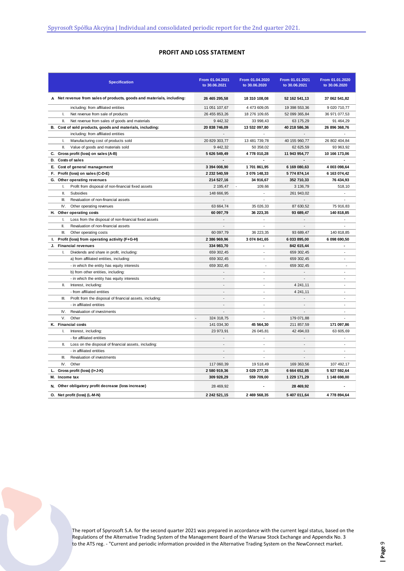### **PROFIT AND LOSS STATEMENT**

| <b>Specification</b>                                                  | From 01.04.2021<br>to 30.06.2021 | From 01.04.2020<br>to 30.06.2020 | From 01.01.2021<br>to 30.06.2021 | From 01.01.2020<br>to 30.06.2020 |
|-----------------------------------------------------------------------|----------------------------------|----------------------------------|----------------------------------|----------------------------------|
| A Net revenue from sales of products, goods and materials, including: | 26 465 295,58                    | 18 310 108,08                    | 52 162 541,13                    | 37 062 541,82                    |
| including: from affiliated entities                                   | 11 051 107,67                    | 4 473 609,05                     | 19 398 553,36                    | 9 020 710,77                     |
| L.<br>Net revenue from sale of products                               | 26 455 853,26                    | 18 276 109,65                    | 52 099 365,84                    | 36 971 077,53                    |
| Ш.<br>Net revenue from sales of goods and materials                   | 9 442.32                         | 33 998.43                        | 63 175,29                        | 91 464,29                        |
| Cost of sold products, goods and materials, including:<br>В.          | 20 838 746,09                    | 13 532 097,80                    | 40 218 586,36                    | 26 896 368,76                    |
| including: from affiliated entities                                   |                                  |                                  |                                  |                                  |
| Manufacturing cost of products sold<br>Ι.                             | 20 829 303,77                    | 13 481 739,78                    | 40 155 960,77                    | 26 802 404,84                    |
| Ш.<br>Value of goods and materials sold                               | 9 442,32                         | 50 358,02                        | 62 625,59                        | 93 963,92                        |
| Gross profit (loss) on sales (A-B)<br>C.                              | 5 626 549.49                     | 4778 010.28                      | 11 943 954,77                    | 10 166 173,06                    |
| D. Costs of sales                                                     |                                  |                                  |                                  |                                  |
| E. Cost of general management                                         | 3 394 008,90                     | 1701861,95                       | 6 169 080,63                     | 4 003 098,64                     |
| F. Profit (loss) on sales (C-D-E)                                     | 2 232 540,59                     | 3 076 148,33                     | 5774 874,14                      | 6 163 074,42                     |
| G. Other operating revenues                                           | 214 527,16                       | 34 916,67                        | 352 710,33                       | 76 434,93                        |
| Profit from disposal of non-financial fixed assets<br>$\mathbf{I}$    | 2 195,47                         | 109,66                           | 3 136,79                         | 518,10                           |
| Ш.<br>Subsidies                                                       | 148 666,95                       | ÷,                               | 261 943,02                       |                                  |
| III.<br>Revaluation of non-financial assets                           |                                  | ÷.                               |                                  | $\sim$                           |
| IV.<br>Other operating revenues                                       | 63 664,74                        | 35 026,33                        | 87 630,52                        | 75 916,83                        |
| H. Other operating costs                                              | 60 097,79                        | 36 223,35                        | 93 689,47                        | 140 818,85                       |
| Loss from the disposal of non-financial fixed assets<br>$\mathbf{I}$  | $\sim$                           | ÷                                |                                  |                                  |
| Revaluation of non-financial assets<br>II.                            | $\sim$                           | ÷.                               | $\sim$                           | ÷                                |
| III.<br>Other operating costs                                         | 60 097,79                        | 36 223,35                        | 93 689,47                        | 140 818,85                       |
| L.<br>Profit (loss) from operating activity (F+G-H)                   | 2 386 969,96                     | 3 074 841,65                     | 6 033 895,00                     | 6 098 690,50                     |
| J. Financial revenues                                                 | 334 983,70                       | ÷,                               | 842 615,44                       |                                  |
| $\mathbf{L}$<br>Dividends and share in profit, including:             | 659 302,45                       | ä,                               | 659 302,45                       | $\overline{\phantom{a}}$         |
| a) from affiliated entities, including:                               | 659 302,45                       | ä,                               | 659 302,45                       | ÷                                |
| - in which the entity has equity interests                            | 659 302,45                       | $\sim$                           | 659 302,45                       | ÷,                               |
| b) from other entities, including:                                    |                                  | $\sim$                           |                                  | $\overline{\phantom{a}}$         |
| - in which the entity has equity interests                            | $\blacksquare$                   | $\sim$                           | $\sim$                           | $\sim$                           |
| $\mathbf{u}$<br>Interest, including:                                  | $\sim$                           | ÷.                               | 4 241,11                         | ÷                                |
| - from affiliated entities                                            | ÷.                               | $\overline{\phantom{a}}$         | 4 241,11                         | ÷                                |
| III.<br>Profit from the disposal of financial assets, including:      | $\sim$                           | ÷                                | ÷.                               | $\overline{a}$                   |
| - in affiliated entities                                              | $\overline{a}$                   | $\tilde{\phantom{a}}$            | $\overline{a}$                   | $\sim$                           |
| IV.<br>Revaluation of investments                                     |                                  | $\sim$                           |                                  | $\sim$                           |
| V.<br>Other                                                           | $\sim$<br>324 318,75             | ÷                                | 179 071,88                       | $\overline{a}$                   |
| K. Financial costs                                                    | 141 034,30                       | 45 564,30                        | 211 857,59                       | 171 097,86                       |
| $\mathbf{L}$<br>Interest, including:                                  | 23 973,91                        | 26 045,81                        | 42 494,03                        | 63 605,69                        |
| - for affiliated entities                                             |                                  |                                  |                                  |                                  |
| Loss on the disposal of financial assets, including:<br>Ш.            | $\overline{a}$                   | $\sim$                           | $\overline{a}$                   | $\sim$                           |
| - in affiliated entities                                              | $\sim$                           | $\sim$                           | $\sim$                           | $\overline{a}$                   |
| Revaluation of investments<br>III.                                    |                                  | ÷                                |                                  | $\sim$                           |
| IV.<br>Other                                                          | 117 060,39                       | 19 518,49                        | 169 363,56                       | 107 492,17                       |
| L. Gross profit (loss) (I+J-K)                                        | 2 580 919,36                     | 3 029 277,35                     | 6 664 652,85                     | 5 927 592,64                     |
| M. Income tax                                                         | 309 928,29                       | 559 709,00                       | 1 229 171,29                     | 1 148 698,00                     |
| N. Other obligatory profit decrease (loss increase)                   | 28 469,92                        |                                  | 28 469,92                        |                                  |
| O. Net profit (loss) (L-M-N)                                          | 2 242 521,15                     | 2 469 568,35                     | 5 407 011,64                     | 4778 894,64                      |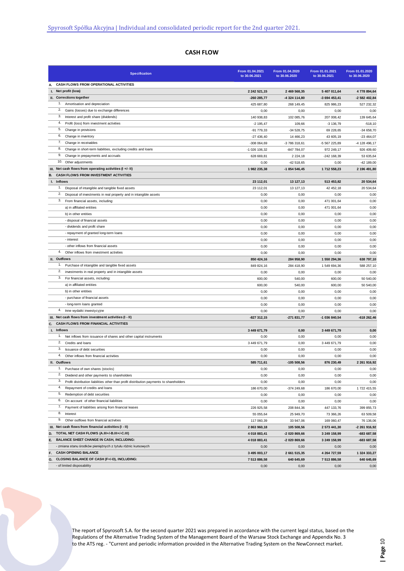# **CASH FLOW**

| <b>Specification</b>                                                                          | From 01.04.2021<br>to 30.06.2021 | From 01.04.2020<br>to 30.06.2020 | From 01.01.2021<br>to 30.06.2021 | From 01.01.2020<br>to 30.06.2020 |
|-----------------------------------------------------------------------------------------------|----------------------------------|----------------------------------|----------------------------------|----------------------------------|
| CASH FLOWS FROM OPERATIONAL ACTIVITIES<br>А.                                                  |                                  |                                  |                                  |                                  |
| I. Net profit (loss)                                                                          | 2 242 521,15                     | 2 469 568,35                     | 5 407 011,64                     | 4 778 894,64                     |
| II. Corrections together                                                                      | -260 285,77                      | -4 324 114,80                    | -3 694 453,41                    | -2 582 402,84                    |
| 1. Amortisation and depreciation                                                              | 425 687,80                       | 268 149,45                       | 825 986,23                       | 527 232,32                       |
| 2.<br>Gains (losses) due to exchange differences                                              | 0,00                             | 0,00                             | 0,00                             | 0,00                             |
| 3.<br>Interest and profit share (dividends)                                                   | 140 938,83                       | 102 085,76                       | 207 008,42                       | 139 645,64                       |
| 4.<br>Profit (loss) from investment activities                                                | $-2$ 195,47                      | 109,66                           | $-3136,79$                       | $-518, 10$                       |
| 5.<br>Change in provisions                                                                    | -91 779,33                       | $-34528,75$                      | 69 228,65                        | $-34658,70$                      |
| 6.<br>Change in inventory                                                                     | $-27436.40$                      | 14 466,23                        | 43 605.19                        | $-23464,07$                      |
| 7.<br>Change in receivables                                                                   | -308 064,69                      | -3 786 318,61                    | -5 567 225,89                    | -4 128 496,17                    |
| 8.<br>Change in short-term liabilities, excluding credits and loans                           | -1 026 106,32                    | -847 784,07                      | 972 249,17                       | 926 409,60                       |
| 9.<br>Change in prepayments and accruals                                                      | 628 669,81                       | 2 2 2 4, 18                      | -242 168,39                      | 53 635,64                        |
| 10. Other adjustments                                                                         | 0,00                             | $-42518,65$                      | 0,00                             | -42 189,00                       |
| III. Net cash flows from operating activities (I +/- II)                                      | 1 982 235,38                     | -1 854 546,45                    | 1712 558,23                      | 2 196 491,80                     |
| CASH FLOWS FROM INVESTMENT ACTIVITIES<br>В.                                                   |                                  |                                  |                                  |                                  |
| I. Inflows                                                                                    | 23 112,01                        | 13 127,13                        | 513 453,82                       | 20 534,64                        |
| 1.<br>Disposal of intangible and tangible fixed assets                                        | 23 112,01                        | 13 127,13                        | 42 452,18                        | 20 534,64                        |
| 2.<br>Disposal of investments in real property and in intangible assets                       | 0,00                             | 0,00                             | 0,00                             | 0,00                             |
| 3.<br>From financial assets, including:                                                       | 0,00                             | 0,00                             | 471 001,64                       | 0,00                             |
| a) in affiliated entities                                                                     | 0,00                             | 0,00                             | 471 001,64                       | 0,00                             |
| b) in other entities                                                                          | 0,00                             | 0,00                             | 0,00                             | 0,00                             |
| - disposal of financial assets                                                                | 0,00                             | 0,00                             | 0,00                             | 0,00                             |
| - dividends and profit share                                                                  | 0,00                             | 0,00                             | 0,00                             | 0,00                             |
| - repayment of granted long-term loans                                                        | 0,00                             | 0,00                             | 0,00                             | 0,00                             |
| - interest                                                                                    | 0,00                             | 0,00                             | 0,00                             | 0,00                             |
| - other inflows from financial assets                                                         | 0,00                             | 0,00                             | 0,00                             | 0,00                             |
| 4.<br>Other inflows from investment activities                                                | 0,00                             | 0,00                             | 0,00                             | 0,00                             |
| II. Outflows                                                                                  | 850 424,16                       | 284 958,90                       | 1 550 294,36                     | 638 797,10                       |
| 1. Purchase of intangible and tangible fixed assets                                           | 849 824,16                       | 284 418,90                       | 1549 694,36                      | 588 257,10                       |
| 2.<br>investments in real property and in intangible assets                                   | 0,00                             | 0,00                             | 0,00                             | 0,00                             |
| 3.<br>For financial assets, including:                                                        | 600,00                           | 540,00                           | 600,00                           | 50 540,00                        |
| a) in affiliated entities                                                                     | 600,00                           | 540,00                           | 600,00                           | 50 540,00                        |
| b) in other entities                                                                          | 0,00                             | 0,00                             | 0,00                             | 0,00                             |
| - purchase of financial assets                                                                | 0,00                             | 0,00                             | 0,00                             | 0,00                             |
| - long-term loans granted                                                                     | 0,00                             | 0,00                             | 0,00                             | 0,00                             |
| 4. Inne wydatki inwestycyjne                                                                  | 0,00                             | 0,00                             | 0,00                             | 0,00                             |
| III. Net cash flows from investment activities (I - II)                                       | $-827312,15$                     | -271 831,77                      | -1 036 840,54                    | -618 262,46                      |
| C. CASH FLOWS FROM FINANCIAL ACTIVITIES                                                       |                                  |                                  |                                  |                                  |
| I. Inflows                                                                                    | 3 449 671,79                     | 0,00                             | 3 449 671,79                     | 0,00                             |
| 1. Net inflows from issuance of shares and other capital instruments                          | 0,00                             | 0,00                             | 0,00                             | 0,00                             |
| 2.<br>Credits and loans                                                                       | 3 449 671,79                     | 0,00                             | 3 449 671,79                     | 0,00                             |
| 3.<br>Issuance of debt securities                                                             | 0,00                             | 0,00                             | 0,00                             | 0,00                             |
| 4.<br>Other inflows from financial activities                                                 | 0,00                             | 0,00                             | 0,00                             | 0,00                             |
| II. Outflows                                                                                  | 585 711,61                       | $-105508,56$                     | 876 230,49                       | 2 261 916.92                     |
| 1.<br>Purchase of own shares (stocks)                                                         | 0,00                             | 0,00                             | 0,00                             | 0,00                             |
| 2. Dividend and other payments to shareholders                                                | 0,00                             | 0,00                             | 0,00                             | 0,00                             |
| 3.<br>Profit distribution liabilities other than profit distribution payments to shareholders | 0,00                             | 0,00                             | 0,00                             | 0,00                             |
| 4.<br>Repayment of credits and loans                                                          | 186 670,00                       | -374 249,68                      | 186 670,00                       | 1 722 415,55                     |
| 5.<br>Redemption of debt securities                                                           | 0,00                             | 0,00                             | 0,00                             | 0,00                             |
| 6.<br>On account of other financial liabilities                                               | 0,00                             | 0,00                             | 0,00                             | 0,00                             |
| 7. Payment of liabilities arising from financial leases                                       | 226 925,58                       | 208 844,36                       | 447 133,76                       | 399 855,73                       |
| 8.<br>Interest                                                                                | 55 055,64                        | 25 949,70                        | 73 366,26                        | 63 509,58                        |
| 9.<br>Other outflows from financial activities                                                | 117 060,39                       | 33 947,06                        | 169 060,47                       | 76 136,06                        |
| III. Net cash flows from financial activities (I - II)                                        | 2 863 960,18                     | 105 508,56                       | 2 573 441,30                     | -2 261 916,92                    |
| D. TOTAL NET CASH FLOWS (A.III+/-B.III+/-C.III)                                               | 4 018 883,41                     | -2 020 869,66                    | 3 249 158,99                     | -683 687,58                      |
| <b>BALANCE SHEET CHANGE IN CASH, INCLUDING:</b><br>E.                                         | 4 018 883,41                     | -2 020 869,66                    | 3 249 158,99                     | -683 687,58                      |
| - zmiana stanu środków pieniężnych z tytułu różnic kursowych                                  | 0,00                             | 0,00                             | 0,00                             | 0,00                             |
| <b>CASH OPENING BALANCE</b><br>F.                                                             | 3 495 003,17                     | 2 661 515,35                     | 4 264 727,59                     | 1 324 333,27                     |
| G. CLOSING BALANCE OF CASH (F+/-D), INCLUDING:                                                | 7 513 886,58                     | 640 645,69                       | 7 513 886,58                     | 640 645,69                       |
| - of limited disposability                                                                    | 0,00                             | 0,00                             | 0,00                             | 0,00                             |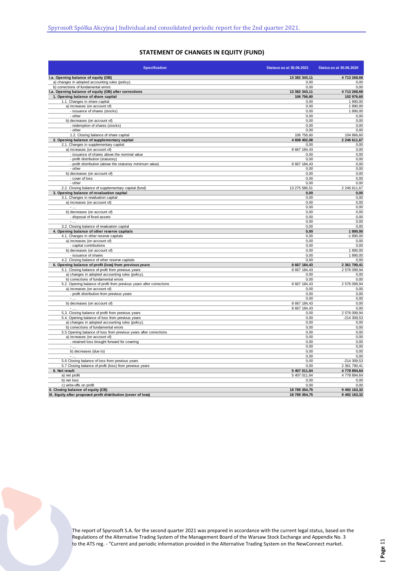# **STATEMENT OF CHANGES IN EQUITY (FUND)**

| <b>Specification</b>                                                                                   | Stataus as at 30.06.2021 | <b>Status as at 30.06.2020</b> |
|--------------------------------------------------------------------------------------------------------|--------------------------|--------------------------------|
| I.a. Opening balance of equity (OB)                                                                    | 13 382 343.11            | 4713268.68                     |
| a) changes in adopted accounting rules (policy)                                                        | 0,00                     | 0,00                           |
| b) corrections of fundamental errors                                                                   | 0,00                     | 0,00                           |
| I.a. Opening balance of equity (OB) after corrections                                                  | 13 382 343,11            | 4713 268,68                    |
| 1. Opening balance of share capital                                                                    | 106 756,60               | 102 976,60                     |
| 1.1. Changes in share capital                                                                          | 0,00                     | 1890,00                        |
| a) increases (on account of)                                                                           | 0,00<br>0,00             | 1890,00<br>1890,00             |
| - issuance of shares (stocks)<br>- other                                                               | 0,00                     | 0,00                           |
| b) decreases (on account of)                                                                           | 0,00                     | 0,00                           |
| - redemption of shares (stocks)                                                                        | 0,00                     | 0,00                           |
| - other                                                                                                | 0,00                     | 0,00                           |
| 1.2. Closing balance of share capital                                                                  | 106 756,60               | 104 866,60                     |
| 2. Opening balance of supplementary capital                                                            | 4 608 402,08             | 2 246 611,67                   |
| 2.1. Changes in supplementary capital                                                                  | 0,00                     | 0,00                           |
| a) increases (on account of)                                                                           | 8 667 184,43             | 0,00                           |
| - issuance of shares above the nominal value                                                           | 0,00                     | 0,00                           |
| - profit distribution (statutory)                                                                      | 0,00                     | 0,00                           |
| - profit distribution (above the statutory minimum value)                                              | 8 667 184,43             | 0,00                           |
| - other                                                                                                | 0,00                     | 0,00                           |
| b) decreases (on account of)<br>- cover of loss                                                        | 0,00<br>0,00             | 0,00<br>0,00                   |
| - other                                                                                                | 0,00                     | 0,00                           |
| 2.2. Closing balance of supplementary capital (fund)                                                   | 13 275 586,51            | 2 246 611,67                   |
| 3. Opening balance of revaluation capital                                                              | 0,00                     | 0,00                           |
| 3.1. Changes in revaluation capital                                                                    | 0,00                     | 0,00                           |
| a) increases (on account of)                                                                           | 0,00                     | 0,00                           |
| $\sim$                                                                                                 | 0,00                     | 0,00                           |
| b) decreases (on account of)                                                                           | 0,00                     | 0,00                           |
| - disposal of fixed assets                                                                             | 0,00                     | 0,00                           |
| Ŀ                                                                                                      | 0,00                     | 0,00                           |
| 3.2. Closing balance of revaluation capital                                                            | 0,00                     | 0,00                           |
| 4. Opening balance of other reserve capitals                                                           | 0,00                     | 1890,00                        |
| 4.1. Changes in other reserve capitals                                                                 | 0,00                     | $-1890,00$                     |
| a) increases (on account of)                                                                           | 0,00                     | 0,00                           |
| - capital contributions<br>b) decreases (on account of)                                                | 0,00<br>0.00             | 0,00<br>1890.00                |
| - issuance of shares                                                                                   | 0,00                     | 1890,00                        |
| 4.2. Closing balance of other reserve capitals                                                         | 0,00                     | 0,00                           |
| 6. Opening balance of profit (loss) from previous years                                                | 8 667 184,43             | 2 361 790,41                   |
| 5.1. Closing balance of profit from previous years                                                     | 8 667 184,43             | 2 576 099,94                   |
| a) changes in adopted accounting rules (policy).                                                       | 0,00                     | 0,00                           |
| b) corrections of fundamental errors                                                                   | 0,00                     | 0,00                           |
| 5.2. Opening balance of profit from previous years after corrections                                   | 8 667 184,43             | 2 576 099,94                   |
| a) increases (on account of)                                                                           | 0,00                     | 0,00                           |
| - profit distribution from previous years                                                              | 0,00                     | 0,00                           |
|                                                                                                        | 0,00                     | 0,00                           |
| b) decreases (on account of)                                                                           | 8 667 184,43             | 0,00                           |
|                                                                                                        | 8 667 184,43             | 0,00                           |
| 5,3. Closing balance of profit from previous years<br>5.4. Opening balance of loss from previous years | 0,00<br>0.00             | 2 576 099,94<br>-214 309,53    |
| a) changes in adopted accounting rules (policy).                                                       | 0,00                     | 0,00                           |
| b) corrections of fundamental errors                                                                   | 0,00                     | 0,00                           |
| 5.5 Opening balance of loss from previous years after corrections                                      | 0,00                     | 0,00                           |
| a) increases (on account of)                                                                           | 0,00                     | 0,00                           |
| - retained loss brought forward for covering                                                           | 0,00                     | 0,00                           |
| $\sim$ $\sim$                                                                                          | 0,00                     | 0,00                           |
| b) decreases (due to)                                                                                  | 0.00                     | 0,00                           |
| $\sim$ $\sim$                                                                                          | 0,00                     | 0,00                           |
| 5.6 Closing balance of loss from previous years                                                        | 0,00                     | $-214309,53$                   |
| 5.7 Closing balance of profit (loss) from previous years                                               | 0,00                     | 2 361 790,41                   |
| 6. Net result                                                                                          | 5 407 011,64             | 4 778 894,64                   |
| a) net profit                                                                                          | 5 407 011,64             | 4778 894,64                    |
| b) net loss                                                                                            | 0,00                     | 0,00                           |
| c) write-offs on profit<br>II. Closing balance of equity (CB)                                          | 0,00<br>18 789 354,75    | 0,00<br>9 492 163,32           |
| III. Equity after proposed profit distribution (cover of loss)                                         | 18 789 354,75            | 9 492 163,32                   |
|                                                                                                        |                          |                                |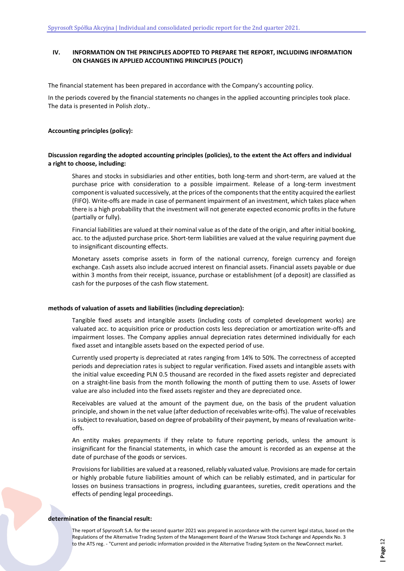# **IV. INFORMATION ON THE PRINCIPLES ADOPTED TO PREPARE THE REPORT, INCLUDING INFORMATION ON CHANGES IN APPLIED ACCOUNTING PRINCIPLES (POLICY)**

The financial statement has been prepared in accordance with the Company's accounting policy.

In the periods covered by the financial statements no changes in the applied accounting principles took place. The data is presented in Polish zloty..

#### **Accounting principles (policy):**

#### **Discussion regarding the adopted accounting principles (policies), to the extent the Act offers and individual a right to choose, including:**

Shares and stocks in subsidiaries and other entities, both long-term and short-term, are valued at the purchase price with consideration to a possible impairment. Release of a long-term investment component is valuated successively, at the prices of the components that the entity acquired the earliest (FIFO). Write-offs are made in case of permanent impairment of an investment, which takes place when there is a high probability that the investment will not generate expected economic profits in the future (partially or fully).

Financial liabilities are valued at their nominal value as of the date of the origin, and after initial booking, acc. to the adjusted purchase price. Short-term liabilities are valued at the value requiring payment due to insignificant discounting effects.

Monetary assets comprise assets in form of the national currency, foreign currency and foreign exchange. Cash assets also include accrued interest on financial assets. Financial assets payable or due within 3 months from their receipt, issuance, purchase or establishment (of a deposit) are classified as cash for the purposes of the cash flow statement.

#### **methods of valuation of assets and liabilities (including depreciation):**

Tangible fixed assets and intangible assets (including costs of completed development works) are valuated acc. to acquisition price or production costs less depreciation or amortization write-offs and impairment losses. The Company applies annual depreciation rates determined individually for each fixed asset and intangible assets based on the expected period of use.

Currently used property is depreciated at rates ranging from 14% to 50%. The correctness of accepted periods and depreciation rates is subject to regular verification. Fixed assets and intangible assets with the initial value exceeding PLN 0.5 thousand are recorded in the fixed assets register and depreciated on a straight-line basis from the month following the month of putting them to use. Assets of lower value are also included into the fixed assets register and they are depreciated once.

Receivables are valued at the amount of the payment due, on the basis of the prudent valuation principle, and shown in the net value (after deduction of receivables write-offs). The value of receivables is subject to revaluation, based on degree of probability of their payment, by means of revaluation writeoffs.

An entity makes prepayments if they relate to future reporting periods, unless the amount is insignificant for the financial statements, in which case the amount is recorded as an expense at the date of purchase of the goods or services.

Provisions for liabilities are valued at a reasoned, reliably valuated value. Provisions are made for certain or highly probable future liabilities amount of which can be reliably estimated, and in particular for losses on business transactions in progress, including guarantees, sureties, credit operations and the effects of pending legal proceedings.

#### **determination of the financial result:**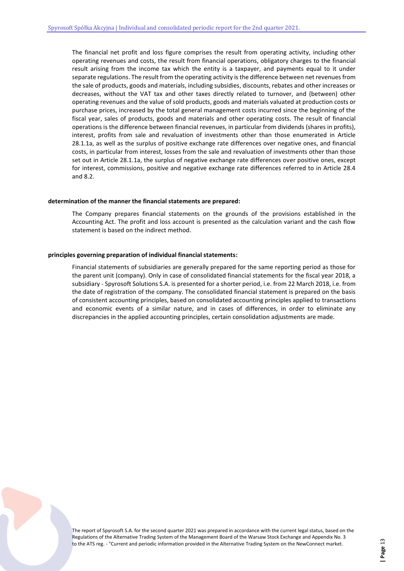The financial net profit and loss figure comprises the result from operating activity, including other operating revenues and costs, the result from financial operations, obligatory charges to the financial result arising from the income tax which the entity is a taxpayer, and payments equal to it under separate regulations. The result from the operating activity is the difference between net revenues from the sale of products, goods and materials, including subsidies, discounts, rebates and other increases or decreases, without the VAT tax and other taxes directly related to turnover, and (between) other operating revenues and the value of sold products, goods and materials valuated at production costs or purchase prices, increased by the total general management costs incurred since the beginning of the fiscal year, sales of products, goods and materials and other operating costs. The result of financial operations is the difference between financial revenues, in particular from dividends (shares in profits), interest, profits from sale and revaluation of investments other than those enumerated in Article 28.1.1a, as well as the surplus of positive exchange rate differences over negative ones, and financial costs, in particular from interest, losses from the sale and revaluation of investments other than those set out in Article 28.1.1a, the surplus of negative exchange rate differences over positive ones, except for interest, commissions, positive and negative exchange rate differences referred to in Article 28.4 and 8.2.

#### **determination of the manner the financial statements are prepared:**

The Company prepares financial statements on the grounds of the provisions established in the Accounting Act. The profit and loss account is presented as the calculation variant and the cash flow statement is based on the indirect method.

#### **principles governing preparation of individual financial statements:**

Financial statements of subsidiaries are generally prepared for the same reporting period as those for the parent unit (company). Only in case of consolidated financial statements for the fiscal year 2018, a subsidiary - Spyrosoft Solutions S.A. is presented for a shorter period, i.e. from 22 March 2018, i.e. from the date of registration of the company. The consolidated financial statement is prepared on the basis of consistent accounting principles, based on consolidated accounting principles applied to transactions and economic events of a similar nature, and in cases of differences, in order to eliminate any discrepancies in the applied accounting principles, certain consolidation adjustments are made.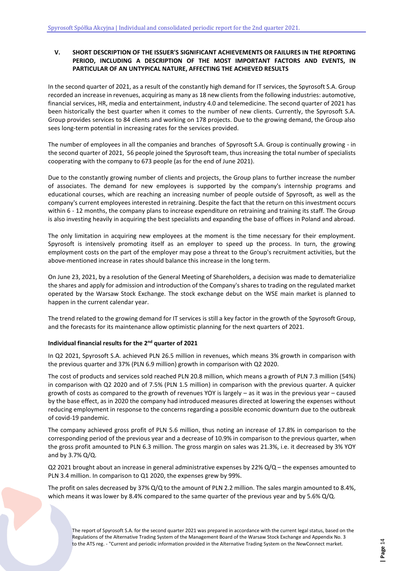# <span id="page-13-0"></span>**V. SHORT DESCRIPTION OF THE ISSUER'S SIGNIFICANT ACHIEVEMENTS OR FAILURES IN THE REPORTING PERIOD, INCLUDING A DESCRIPTION OF THE MOST IMPORTANT FACTORS AND EVENTS, IN PARTICULAR OF AN UNTYPICAL NATURE, AFFECTING THE ACHIEVED RESULTS**

In the second quarter of 2021, as a result of the constantly high demand for IT services, the Spyrosoft S.A. Group recorded an increase in revenues, acquiring as many as 18 new clients from the following industries: automotive, financial services, HR, media and entertainment, industry 4.0 and telemedicine. The second quarter of 2021 has been historically the best quarter when it comes to the number of new clients. Currently, the Spyrosoft S.A. Group provides services to 84 clients and working on 178 projects. Due to the growing demand, the Group also sees long-term potential in increasing rates for the services provided.

The number of employees in all the companies and branches of Spyrosoft S.A. Group is continually growing - in the second quarter of 2021, 56 people joined the Spyrosoft team, thus increasing the total number of specialists cooperating with the company to 673 people (as for the end of June 2021).

Due to the constantly growing number of clients and projects, the Group plans to further increase the number of associates. The demand for new employees is supported by the company's internship programs and educational courses, which are reaching an increasing number of people outside of Spyrosoft, as well as the company's current employees interested in retraining. Despite the fact that the return on this investment occurs within 6 - 12 months, the company plans to increase expenditure on retraining and training its staff. The Group is also investing heavily in acquiring the best specialists and expanding the base of offices in Poland and abroad.

The only limitation in acquiring new employees at the moment is the time necessary for their employment. Spyrosoft is intensively promoting itself as an employer to speed up the process. In turn, the growing employment costs on the part of the employer may pose a threat to the Group's recruitment activities, but the above-mentioned increase in rates should balance this increase in the long term.

On June 23, 2021, by a resolution of the General Meeting of Shareholders, a decision was made to dematerialize the shares and apply for admission and introduction of the Company's shares to trading on the regulated market operated by the Warsaw Stock Exchange. The stock exchange debut on the WSE main market is planned to happen in the current calendar year.

The trend related to the growing demand for IT services is still a key factor in the growth of the Spyrosoft Group, and the forecasts for its maintenance allow optimistic planning for the next quarters of 2021.

#### **Individual financial results for the 2nd quarter of 2021**

In Q2 2021, Spyrosoft S.A. achieved PLN 26.5 million in revenues, which means 3% growth in comparison with the previous quarter and 37% (PLN 6.9 million) growth in comparison with Q2 2020.

The cost of products and services sold reached PLN 20.8 million, which means a growth of PLN 7.3 million (54%) in comparison with Q2 2020 and of 7.5% (PLN 1.5 million) in comparison with the previous quarter. A quicker growth of costs as compared to the growth of revenues YOY is largely – as it was in the previous year – caused by the base effect, as in 2020 the company had introduced measures directed at lowering the expenses without reducing employment in response to the concerns regarding a possible economic downturn due to the outbreak of covid-19 pandemic.

The company achieved gross profit of PLN 5.6 million, thus noting an increase of 17.8% in comparison to the corresponding period of the previous year and a decrease of 10.9% in comparison to the previous quarter, when the gross profit amounted to PLN 6.3 million. The gross margin on sales was 21.3%, i.e. it decreased by 3% YOY and by 3.7% Q/Q.

Q2 2021 brought about an increase in general administrative expenses by 22%  $Q/Q$  – the expenses amounted to PLN 3.4 million. In comparison to Q1 2020, the expenses grew by 99%.

The profit on sales decreased by 37% Q/Q to the amount of PLN 2.2 million. The sales margin amounted to 8.4%, which means it was lower by 8.4% compared to the same quarter of the previous year and by 5.6% Q/Q.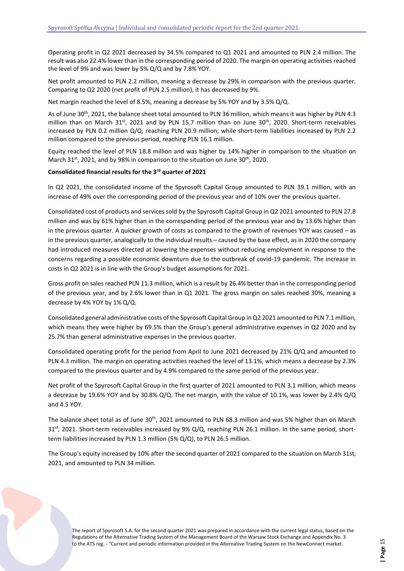Operating profit in Q2 2021 decreased by 34.5% compared to Q1 2021 and amounted to PLN 2.4 million. The result was also 22.4% lower than in the corresponding period of 2020. The margin on operating activities reached the level of 9% and was lower by 5% Q/Q and by 7.8% YOY.

Net profit amounted to PLN 2.2 million, meaning a decrease by 29% in comparison with the previous quarter. Comparing to Q2 2020 (net profit of PLN 2.5 million), it has decreased by 9%.

Net margin reached the level of 8.5%, meaning a decrease by 5% YOY and by 3.5% Q/Q.

As of June 30th, 2021, the balance sheet total amounted to PLN 36 million, which means it was higher by PLN 4.3 million than on March 31st, 2021 and by PLN 15.7 million than on June 30<sup>th</sup>, 2020. Short-term receivables increased by PLN 0.2 million Q/Q, reaching PLN 20.9 million, while short-term liabilities increased by PLN 2.2 million compared to the previous period, reaching PLN 16.1 million.

Equity reached the level of PLN 18.8 million and was higher by 14% higher in comparison to the situation on March 31<sup>st</sup>, 2021, and by 98% in comparison to the situation on June 30<sup>th</sup>, 2020.

#### **Consolidated financial results for the 3rd quarter of 2021**

In Q2 2021, the consolidated income of the Spyrosoft Capital Group amounted to PLN 39.1 million, with an increase of 49% over the corresponding period of the previous year and of 10% over the previous quarter.

Consolidated cost of products and services sold by the Spyrosoft Capital Group in Q2 2021 amounted to PLN 27.8 million and was by 61% higher than in the corresponding period of the previous year and by 13.6% higher than in the previous quarter. A quicker growth of costs as compared to the growth of revenues YOY was caused – as in the previous quarter, analogically to the individual results – caused by the base effect, as in 2020 the company had introduced measures directed at lowering the expenses without reducing employment in response to the concerns regarding a possible economic downturn due to the outbreak of covid-19 pandemic. The increase in costs in Q2 2021 is in line with the Group's budget assumptions for 2021.

Gross profit on sales reached PLN 11.3 million, which is a result by 26.4% better than in the corresponding period of the previous year, and by 2.6% lower than in Q1 2021. The gross margin on sales reached 30%, meaning a decrease by 4% YOY by 1% Q/Q.

Consolidated general administrative costs of the Spyrosoft Capital Group in Q2 2021 amounted to PLN 7.1 million, which means they were higher by 69.5% than the Group's general administrative expenses in Q2 2020 and by 25.7% than general administrative expenses in the previous quarter.

Consolidated operating profit for the period from April to June 2021 decreased by 21% Q/Q and amounted to PLN 4.3 million. The margin on operating activities reached the level of 13.1%, which means a decrease by 2.3% compared to the previous quarter and by 4.9% compared to the same period of the previous year.

Net profit of the Spyrosoft Capital Group in the first quarter of 2021 amounted to PLN 3.1 million, which means a decrease by 19.6% YOY and by 30.8% Q/Q. The net margin, with the value of 10.1%, was lower by 2.4% Q/Q and 4.5 YOY.

The balance sheet total as of June 30<sup>th</sup>, 2021 amounted to PLN 68.3 million and was 5% higher than on March  $31<sup>st</sup>$ , 2021. Short-term receivables increased by 9% Q/Q, reaching PLN 26.1 million. In the same period, shortterm liabilities increased by PLN 1.3 million (5% Q/Q), to PLN 26.5 million.

The Group's equity increased by 10% after the second quarter of 2021 compared to the situation on March 31st, 2021, and amounted to PLN 34 million.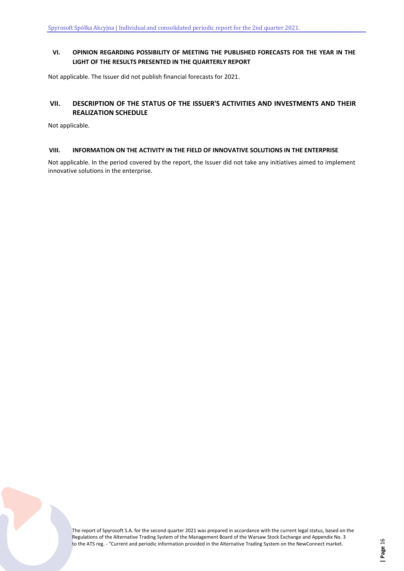# <span id="page-15-0"></span>**VI. OPINION REGARDING POSSIBILITY OF MEETING THE PUBLISHED FORECASTS FOR THE YEAR IN THE LIGHT OF THE RESULTS PRESENTED IN THE QUARTERLY REPORT**

Not applicable. The Issuer did not publish financial forecasts for 2021.

# <span id="page-15-1"></span>**VII. DESCRIPTION OF THE STATUS OF THE ISSUER'S ACTIVITIES AND INVESTMENTS AND THEIR REALIZATION SCHEDULE**

Not applicable.

#### <span id="page-15-2"></span>**VIII. INFORMATION ON THE ACTIVITY IN THE FIELD OF INNOVATIVE SOLUTIONS IN THE ENTERPRISE**

Not applicable. In the period covered by the report, the Issuer did not take any initiatives aimed to implement innovative solutions in the enterprise.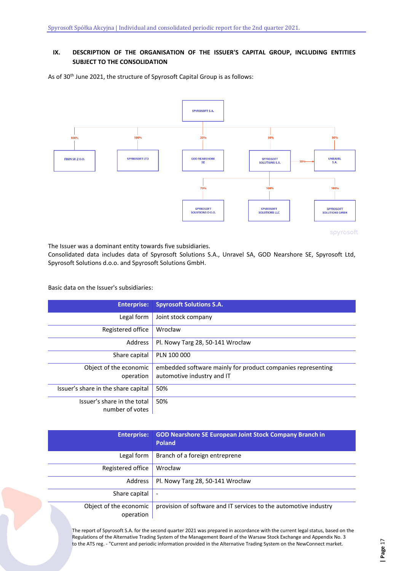# <span id="page-16-0"></span>**IX. DESCRIPTION OF THE ORGANISATION OF THE ISSUER'S CAPITAL GROUP, INCLUDING ENTITIES SUBJECT TO THE CONSOLIDATION**

As of 30<sup>th</sup> June 2021, the structure of Spyrosoft Capital Group is as follows:



The Issuer was a dominant entity towards five subsidiaries.

Consolidated data includes data of Spyrosoft Solutions S.A., Unravel SA, GOD Nearshore SE, Spyrosoft Ltd, Spyrosoft Solutions d.o.o. and Spyrosoft Solutions GmbH.

Basic data on the Issuer's subsidiaries:

| <b>Enterprise:</b>                  | <b>Spyrosoft Solutions S.A.</b>                                                           |
|-------------------------------------|-------------------------------------------------------------------------------------------|
| Legal form                          | Joint stock company                                                                       |
| Registered office                   | Wrocław                                                                                   |
| Address                             | Pl. Nowy Targ 28, 50-141 Wrocław                                                          |
| Share capital                       | PLN 100 000                                                                               |
| Object of the economic<br>operation | embedded software mainly for product companies representing<br>automotive industry and IT |
|                                     |                                                                                           |
| Issuer's share in the share capital | 50%                                                                                       |
| Issuer's share in the total         | 50%                                                                                       |
| number of votes                     |                                                                                           |

| <b>Enterprise:</b>                  | <b>GOD Nearshore SE European Joint Stock Company Branch in</b><br><b>Poland</b> |
|-------------------------------------|---------------------------------------------------------------------------------|
| Legal form                          | Branch of a foreign entreprene                                                  |
| Registered office                   | Wrocław                                                                         |
| Address                             | Pl. Nowy Targ 28, 50-141 Wrocław                                                |
| Share capital                       | $\overline{\phantom{a}}$                                                        |
| Object of the economic<br>operation | provision of software and IT services to the automotive industry                |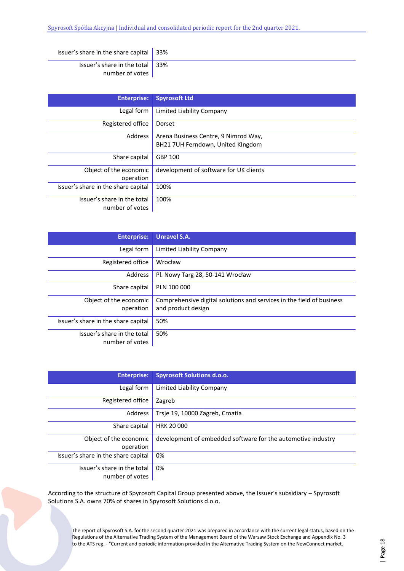| Issuer's share in the share capital $\vert$ 33%            |  |
|------------------------------------------------------------|--|
| Issuer's share in the total $\vert$ 33%<br>number of votes |  |

| <b>Enterprise:</b>                             | <b>Spyrosoft Ltd</b>                                                      |
|------------------------------------------------|---------------------------------------------------------------------------|
| Legal form                                     | Limited Liability Company                                                 |
| Registered office                              | Dorset                                                                    |
| Address                                        | Arena Business Centre, 9 Nimrod Way,<br>BH21 7UH Ferndown, United KIngdom |
| Share capital                                  | GBP 100                                                                   |
| Object of the economic<br>operation            | development of software for UK clients                                    |
| Issuer's share in the share capital            | 100%                                                                      |
| Issuer's share in the total<br>number of votes | 100%                                                                      |

| <b>Enterprise:</b>                             | <b>Unravel S.A.</b>                                                                         |
|------------------------------------------------|---------------------------------------------------------------------------------------------|
| Legal form                                     | Limited Liability Company                                                                   |
| Registered office                              | Wrocław                                                                                     |
| Address                                        | Pl. Nowy Targ 28, 50-141 Wrocław                                                            |
| Share capital                                  | PLN 100 000                                                                                 |
| Object of the economic<br>operation            | Comprehensive digital solutions and services in the field of business<br>and product design |
| Issuer's share in the share capital            | 50%                                                                                         |
| Issuer's share in the total<br>number of votes | 50%                                                                                         |

| <b>Enterprise:</b>                  | <b>Spyrosoft Solutions d.o.o.</b>                            |
|-------------------------------------|--------------------------------------------------------------|
| Legal form                          | Limited Liability Company                                    |
| Registered office                   | Zagreb                                                       |
| Address                             | Trsie 19, 10000 Zagreb, Croatia                              |
| Share capital                       | <b>HRK 20 000</b>                                            |
| Object of the economic              | development of embedded software for the automotive industry |
| operation                           |                                                              |
| Issuer's share in the share capital | 0%                                                           |
| Issuer's share in the total         | 0%                                                           |
| number of votes                     |                                                              |

According to the structure of Spyrosoft Capital Group presented above, the Issuer's subsidiary – Spyrosoft Solutions S.A. owns 70% of shares in Spyrosoft Solutions d.o.o.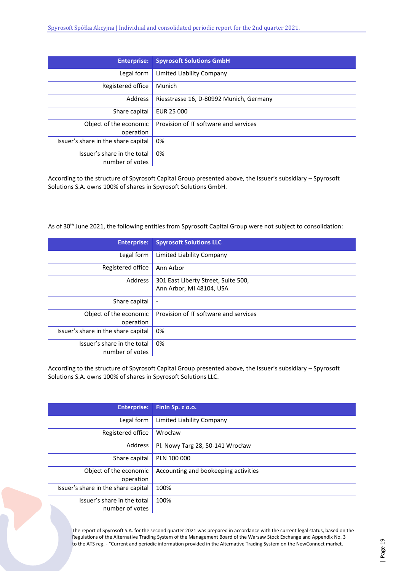| <b>Enterprise:</b>                             | <b>Spyrosoft Solutions GmbH</b>         |
|------------------------------------------------|-----------------------------------------|
| Legal form                                     | Limited Liability Company               |
| Registered office                              | Munich                                  |
| Address                                        | Riesstrasse 16, D-80992 Munich, Germany |
| Share capital                                  | EUR 25 000                              |
| Object of the economic<br>operation            | Provision of IT software and services   |
| Issuer's share in the share capital            | 0%                                      |
| Issuer's share in the total<br>number of votes | 0%                                      |

According to the structure of Spyrosoft Capital Group presented above, the Issuer's subsidiary – Spyrosoft Solutions S.A. owns 100% of shares in Spyrosoft Solutions GmbH.

As of 30<sup>th</sup> June 2021, the following entities from Spyrosoft Capital Group were not subject to consolidation:

| <b>Enterprise:</b>                  | <b>Spyrosoft Solutions LLC</b>        |
|-------------------------------------|---------------------------------------|
| Legal form                          | Limited Liability Company             |
| Registered office                   | Ann Arbor                             |
| Address                             | 301 East Liberty Street, Suite 500,   |
|                                     | Ann Arbor, MI 48104, USA              |
| Share capital                       | $\overline{\phantom{a}}$              |
| Object of the economic              | Provision of IT software and services |
| operation                           |                                       |
| Issuer's share in the share capital | 0%                                    |
| Issuer's share in the total         | 0%                                    |
| number of votes                     |                                       |

According to the structure of Spyrosoft Capital Group presented above, the Issuer's subsidiary – Spyrosoft Solutions S.A. owns 100% of shares in Spyrosoft Solutions LLC.

| <b>Enterprise:</b>                  | Finin Sp. z o.o.                     |
|-------------------------------------|--------------------------------------|
| Legal form                          | Limited Liability Company            |
| Registered office                   | Wrocław                              |
| Address                             | Pl. Nowy Targ 28, 50-141 Wrocław     |
| Share capital                       | PLN 100 000                          |
| Object of the economic              | Accounting and bookeeping activities |
| operation                           |                                      |
| Issuer's share in the share capital | 100%                                 |
| Issuer's share in the total         | 100%                                 |
| number of votes                     |                                      |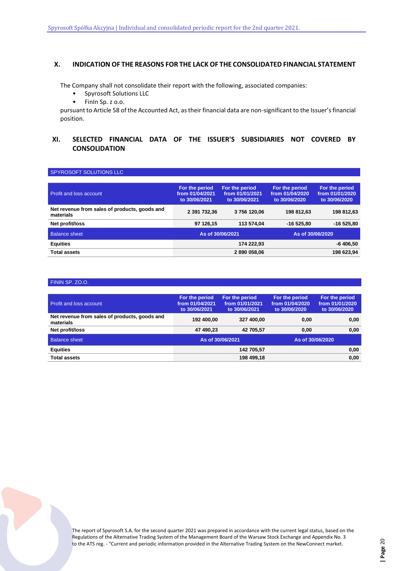# <span id="page-19-0"></span>**X. INDICATION OF THE REASONS FOR THE LACK OF THE CONSOLIDATED FINANCIAL STATEMENT**

The Company shall not consolidate their report with the following, associated companies:

- Spyrosoft Solutions LLC
- FinIn Sp. z o.o.

pursuant to Article 58 of the Accounted Act, as their financial data are non-significant to the Issuer's financial position.

# <span id="page-19-1"></span>**XI. SELECTED FINANCIAL DATA OF THE ISSUER'S SUBSIDIARIES NOT COVERED BY CONSOLIDATION**

#### SPYROSOFT SOLUTIONS LLC

| <b>Profit and loss account</b>                             | For the period<br>from 01/04/2021<br>to 30/06/2021 | For the period<br>from 01/01/2021<br>to 30/06/2021 | For the period<br>from 01/04/2020<br>to 30/06/2020 | For the period<br>from 01/01/2020<br>to 30/06/2020 |
|------------------------------------------------------------|----------------------------------------------------|----------------------------------------------------|----------------------------------------------------|----------------------------------------------------|
| Net revenue from sales of products, goods and<br>materials | 2 391 732,36                                       | 3756120.06                                         | 198 812.63                                         | 198 812,63                                         |
| Net profit/loss                                            | 97 126.15                                          | 113 574.04                                         | $-16525.80$                                        | $-16525.80$                                        |
| <b>Balance sheet</b>                                       | As of 30/06/2021                                   |                                                    | As of 30/06/2020                                   |                                                    |
| <b>Equities</b>                                            |                                                    | 174 222.93                                         |                                                    | $-6406,50$                                         |
| <b>Total assets</b>                                        |                                                    | 2 890 058,06                                       |                                                    | 198 623,94                                         |

#### FININ SP. ZO.O.

| <b>Profit and loss account</b>                             | For the period<br>from 01/04/2021<br>to 30/06/2021 | For the period<br>from 01/01/2021<br>to 30/06/2021 | For the period<br>from 01/04/2020<br>to 30/06/2020 | For the period<br>from 01/01/2020<br>to 30/06/2020 |
|------------------------------------------------------------|----------------------------------------------------|----------------------------------------------------|----------------------------------------------------|----------------------------------------------------|
| Net revenue from sales of products, goods and<br>materials | 192 400.00                                         | 327 400.00                                         | 0.00                                               | 0.00                                               |
| Net profit/loss                                            | 47 490.23                                          | 42 705.57                                          | 0.00                                               | 0,00                                               |
| <b>Balance sheet</b>                                       |                                                    | As of 30/06/2021                                   | As of 30/06/2020                                   |                                                    |
| <b>Equities</b>                                            | 142 705.57                                         |                                                    | 0,00                                               |                                                    |
| <b>Total assets</b>                                        | 198 499.18                                         |                                                    | 0,00                                               |                                                    |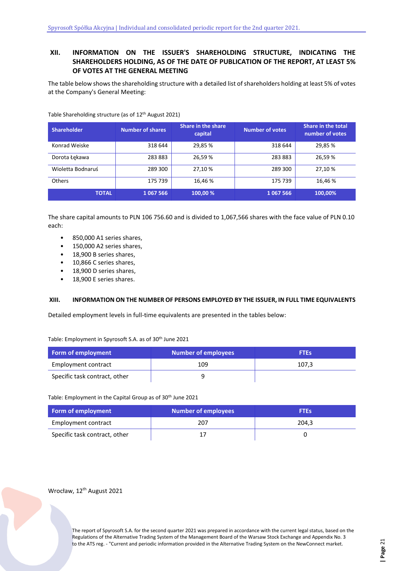# <span id="page-20-0"></span>**XII. INFORMATION ON THE ISSUER'S SHAREHOLDING STRUCTURE, INDICATING THE SHAREHOLDERS HOLDING, AS OF THE DATE OF PUBLICATION OF THE REPORT, AT LEAST 5% OF VOTES AT THE GENERAL MEETING**

The table below shows the shareholding structure with a detailed list of shareholders holding at least 5% of votes at the Company's General Meeting:

| <b>Shareholder</b> | <b>Number of shares</b> | Share in the share<br>capital | <b>Number of votes</b> | <b>Share in the total</b><br>number of votes |
|--------------------|-------------------------|-------------------------------|------------------------|----------------------------------------------|
| Konrad Weiske      | 318 644                 | 29,85 %                       | 318 644                | 29.85 %                                      |
| Dorota Łękawa      | 283883                  | 26,59 %                       | 283883                 | 26,59 %                                      |
| Wioletta Bodnaruś  | 289 300                 | 27,10 %                       | 289 300                | 27.10 %                                      |
| Others             | 175 739                 | 16.46 %                       | 175 739                | 16.46 %                                      |
| <b>TOTAL</b>       | 1 067 566               | 100.00 %                      | 1067566                | 100,00%                                      |

Table Shareholding structure (as of 12th August 2021)

The share capital amounts to PLN 106 756.60 and is divided to 1,067,566 shares with the face value of PLN 0.10 each:

- 850,000 A1 series shares,
- 150,000 A2 series shares,
- 18,900 B series shares,
- 10,866 C series shares,
- 18,900 D series shares,
- 18,900 E series shares.

#### <span id="page-20-1"></span>**XIII. INFORMATION ON THE NUMBER OF PERSONS EMPLOYED BY THE ISSUER, IN FULL TIME EQUIVALENTS**

Detailed employment levels in full-time equivalents are presented in the tables below:

Table: Employment in Spyrosoft S.A. as of 30th June 2021

| Form of employment            | <b>Number of employees</b> | <b>FTEs</b> |
|-------------------------------|----------------------------|-------------|
| Employment contract           | 109                        | 107,3       |
| Specific task contract, other |                            |             |

Table: Employment in the Capital Group as of 30<sup>th</sup> June 2021

| Form of employment            | Number of employees | <b>FTEs</b> |
|-------------------------------|---------------------|-------------|
| Employment contract           | 207                 | 204,3       |
| Specific task contract, other |                     |             |

# Wrocław, 12<sup>th</sup> August 2021